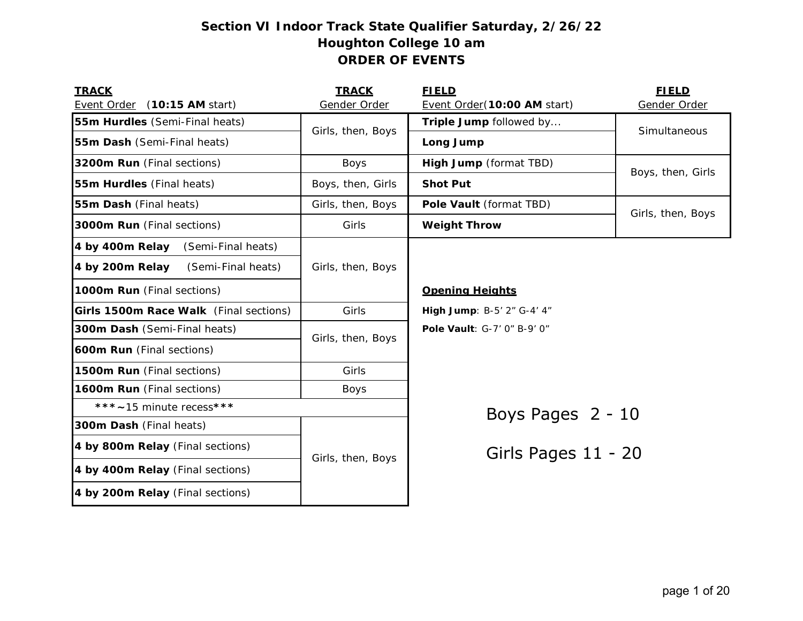# **Section VI Indoor Track State Qualifier Saturday, 2/26/22 Houghton College 10 am ORDER OF EVENTS**

| <b>TRACK</b>                           | <b>TRACK</b>      | <b>FIELD</b>                                                                                                                                                                   | <b>FIELD</b>      |
|----------------------------------------|-------------------|--------------------------------------------------------------------------------------------------------------------------------------------------------------------------------|-------------------|
| Event Order<br>$(10:15$ AM start)      |                   |                                                                                                                                                                                | Gender Order      |
| 55m Hurdles (Semi-Final heats)         |                   | Triple Jump followed by                                                                                                                                                        | Simultaneous      |
| 55m Dash (Semi-Final heats)            |                   | Long Jump                                                                                                                                                                      |                   |
| 3200m Run (Final sections)             | <b>Boys</b>       | High Jump (format TBD)                                                                                                                                                         | Boys, then, Girls |
| 55m Hurdles (Final heats)              | Boys, then, Girls | <b>Shot Put</b>                                                                                                                                                                |                   |
| 55m Dash (Final heats)                 | Girls, then, Boys | Pole Vault (format TBD)                                                                                                                                                        |                   |
| 3000m Run (Final sections)             | Girls             | <b>Weight Throw</b>                                                                                                                                                            |                   |
| 4 by 400m Relay<br>(Semi-Final heats)  |                   |                                                                                                                                                                                |                   |
| 4 by 200m Relay<br>(Semi-Final heats)  | Girls, then, Boys |                                                                                                                                                                                |                   |
| 1000m Run (Final sections)             |                   | <b>Opening Heights</b>                                                                                                                                                         |                   |
| Girls 1500m Race Walk (Final sections) | Girls             | High Jump: B-5' 2" G-4' 4"                                                                                                                                                     |                   |
| 300m Dash (Semi-Final heats)           |                   | Pole Vault: G-7' 0" B-9' 0"                                                                                                                                                    |                   |
| <b>600m Run</b> (Final sections)       |                   |                                                                                                                                                                                |                   |
| 1500m Run (Final sections)             | Girls             |                                                                                                                                                                                |                   |
| 1600m Run (Final sections)             | <b>Boys</b>       |                                                                                                                                                                                |                   |
| ***~15 minute recess***                |                   |                                                                                                                                                                                |                   |
| <b>300m Dash</b> (Final heats)         |                   |                                                                                                                                                                                |                   |
| 4 by 800m Relay (Final sections)       |                   | Gender Order<br>Event Order (10:00 AM start)<br>Girls, then, Boys<br>Girls, then, Boys<br>Girls, then, Boys<br>Boys Pages $2 - 10$<br>Girls Pages 11 - 20<br>Girls, then, Boys |                   |
| 4 by 400m Relay (Final sections)       |                   |                                                                                                                                                                                |                   |
| 4 by 200m Relay (Final sections)       |                   |                                                                                                                                                                                |                   |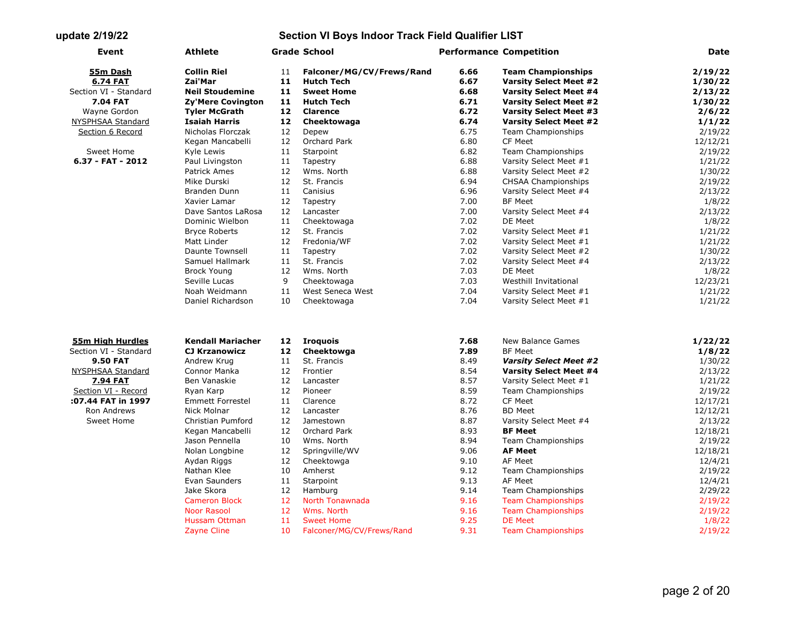| Event                    | Athlete                  |                   | <b>Grade School</b>       | <b>Performance Competition</b> |                                             | Date                |
|--------------------------|--------------------------|-------------------|---------------------------|--------------------------------|---------------------------------------------|---------------------|
| 55m Dash                 | <b>Collin Riel</b>       | 11                | Falconer/MG/CV/Frews/Rand | 6.66                           | <b>Team Championships</b>                   | 2/19/22             |
| <b>6.74 FAT</b>          | Zai'Mar                  | 11                | <b>Hutch Tech</b>         | 6.67                           | <b>Varsity Select Meet #2</b>               | 1/30/22             |
| Section VI - Standard    | <b>Neil Stoudemine</b>   | 11                | <b>Sweet Home</b>         | 6.68                           | <b>Varsity Select Meet #4</b>               | 2/13/22             |
| <b>7.04 FAT</b>          | <b>Zy'Mere Covington</b> | 11                | <b>Hutch Tech</b>         | 6.71                           | <b>Varsity Select Meet #2</b>               | 1/30/22             |
| Wayne Gordon             | <b>Tyler McGrath</b>     | 12                | <b>Clarence</b>           | 6.72                           | <b>Varsity Select Meet #3</b>               | 2/6/22              |
| NYSPHSAA Standard        | <b>Isaiah Harris</b>     | $12 \overline{ }$ | Cheektowaga               | 6.74                           | <b>Varsity Select Meet #2</b>               | 1/1/22              |
| Section 6 Record         | Nicholas Florczak        | 12                | Depew                     | 6.75                           | Team Championships                          | 2/19/22             |
|                          | Kegan Mancabelli         | $12 \overline{ }$ | Orchard Park              | 6.80                           | CF Meet                                     | 12/12/21            |
| Sweet Home               | Kyle Lewis               | 11                | Starpoint                 | 6.82                           | <b>Team Championships</b>                   | 2/19/22             |
| $6.37 - FAT - 2012$      | Paul Livingston          | 11                | Tapestry                  | 6.88                           | Varsity Select Meet #1                      | 1/21/22             |
|                          | Patrick Ames             | 12                | Wms. North                | 6.88                           | Varsity Select Meet #2                      | 1/30/22             |
|                          | Mike Durski              | 12                | St. Francis               | 6.94                           | CHSAA Championships                         | 2/19/22             |
|                          | Branden Dunn             | 11                | Canisius                  | 6.96                           | Varsity Select Meet #4                      | 2/13/22             |
|                          | Xavier Lamar             | 12                | Tapestry                  | 7.00                           | <b>BF Meet</b>                              | 1/8/22              |
|                          | Dave Santos LaRosa       | 12                | Lancaster                 | 7.00                           | Varsity Select Meet #4                      | 2/13/22             |
|                          | Dominic Wielbon          | 11                | Cheektowaga               | 7.02                           | DE Meet                                     | 1/8/22              |
|                          | <b>Bryce Roberts</b>     | 12                | St. Francis               | 7.02                           | Varsity Select Meet #1                      | 1/21/22             |
|                          | Matt Linder              | 12                | Fredonia/WF               | 7.02                           | Varsity Select Meet #1                      | 1/21/22             |
|                          | <b>Daunte Townsell</b>   | 11                | Tapestry                  | 7.02                           | Varsity Select Meet #2                      | 1/30/22             |
|                          | Samuel Hallmark          | 11                | St. Francis               | 7.02                           | Varsity Select Meet #4                      | 2/13/22             |
|                          | <b>Brock Young</b>       | 12                | Wms. North                | 7.03                           | DE Meet                                     | 1/8/22              |
|                          | Seville Lucas            | 9                 | Cheektowaga               | 7.03                           | Westhill Invitational                       | 12/23/21            |
|                          | Noah Weidmann            | 11                | West Seneca West          | 7.04                           | Varsity Select Meet #1                      | 1/21/22             |
|                          | Daniel Richardson        | 10                | Cheektowaga               | 7.04                           | Varsity Select Meet #1                      | 1/21/22             |
| 55m High Hurdles         | <b>Kendall Mariacher</b> | 12                | <b>Iroquois</b>           | 7.68                           | New Balance Games                           | 1/22/22             |
| Section VI - Standard    | <b>CJ Krzanowicz</b>     | 12                | Cheektowga                | 7.89                           | <b>BF Meet</b>                              | 1/8/22              |
| <b>9.50 FAT</b>          | Andrew Krug              | 11                | St. Francis               | 8.49                           | <b>Varsity Select Meet #2</b>               | 1/30/22             |
| <b>NYSPHSAA Standard</b> | Connor Manka             | 12                | Frontier                  | 8.54                           | <b>Varsity Select Meet #4</b>               | 2/13/22             |
| 7.94 FAT                 | Ben Vanaskie             | 12                | Lancaster                 | 8.57                           | Varsity Select Meet #1                      | 1/21/22             |
| Section VI - Record      | Ryan Karp                | 12                | Pioneer                   | 8.59                           | <b>Team Championships</b>                   | 2/19/22             |
| :07.44 FAT in 1997       | <b>Emmett Forrestel</b>  | 11                | Clarence                  | 8.72                           | CF Meet                                     | 12/17/21            |
| Ron Andrews              | Nick Molnar              | 12                | Lancaster                 | 8.76                           | <b>BD Meet</b>                              | 12/12/21            |
| Sweet Home               | Christian Pumford        | 12                | Jamestown                 | 8.87                           | Varsity Select Meet #4                      | 2/13/22             |
|                          |                          | 12                | Orchard Park              | 8.93                           | <b>BF Meet</b>                              | 12/18/21            |
|                          | Kegan Mancabelli         | 10                | Wms. North                | 8.94                           |                                             |                     |
|                          | Jason Pennella           | 12                |                           | 9.06                           | <b>Team Championships</b><br><b>AF Meet</b> | 2/19/22             |
|                          | Nolan Longbine           | 12                | Springville/WV            | 9.10                           | AF Meet                                     | 12/18/21<br>12/4/21 |
|                          | Aydan Riggs              |                   | Cheektowga                |                                |                                             |                     |
|                          | Nathan Klee              | 10                | Amherst                   | 9.12                           | <b>Team Championships</b>                   | 2/19/22             |
|                          | Evan Saunders            | 11                | Starpoint                 | 9.13                           | AF Meet                                     | 12/4/21             |
|                          | Jake Skora               | 12                | Hamburg                   | 9.14                           | <b>Team Championships</b>                   | 2/29/22             |
|                          | <b>Cameron Block</b>     | 12                | North Tonawnada           | 9.16                           | <b>Team Championships</b>                   | 2/19/22             |
|                          | <b>Noor Rasool</b>       | 12                | Wms. North                | 9.16                           | <b>Team Championships</b>                   | 2/19/22             |
|                          | <b>Hussam Ottman</b>     | 11                | <b>Sweet Home</b>         | 9.25                           | <b>DE Meet</b>                              | 1/8/22              |
|                          | Zayne Cline              | 10                | Falconer/MG/CV/Frews/Rand | 9.31                           | <b>Team Championships</b>                   | 2/19/22             |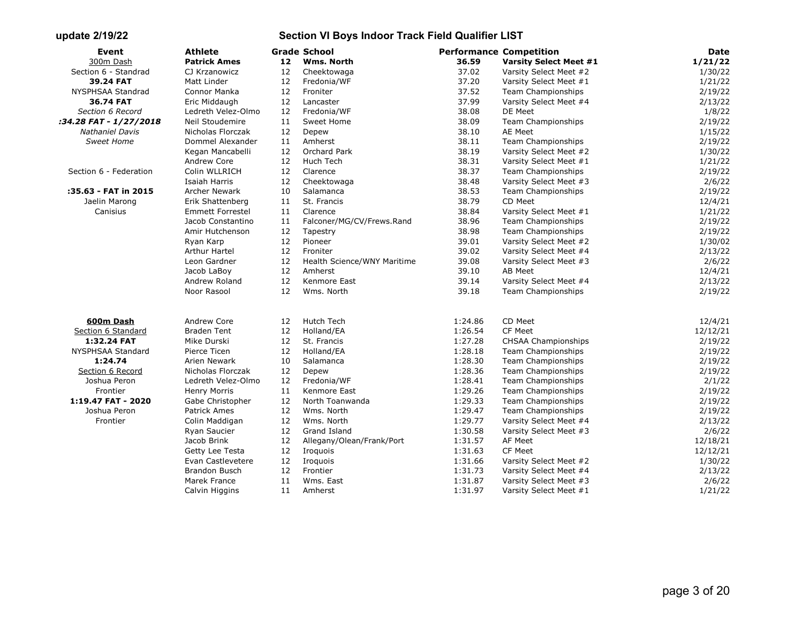| Event                  | <b>Athlete</b>          |                 | <b>Grade School</b>         | <b>Performance Competition</b> |                               | <b>Date</b> |
|------------------------|-------------------------|-----------------|-----------------------------|--------------------------------|-------------------------------|-------------|
| 300m Dash              | <b>Patrick Ames</b>     | 12 <sub>1</sub> | <b>Wms. North</b>           | 36.59                          | <b>Varsity Select Meet #1</b> | 1/21/22     |
| Section 6 - Standrad   | CJ Krzanowicz           | 12              | Cheektowaga                 | 37.02                          | Varsity Select Meet #2        | 1/30/22     |
| 39.24 FAT              | Matt Linder             | 12              | Fredonia/WF                 | 37.20                          | Varsity Select Meet #1        | 1/21/22     |
| NYSPHSAA Standrad      | Connor Manka            | 12              | Froniter                    | 37.52                          | Team Championships            | 2/19/22     |
| 36.74 FAT              | Eric Middaugh           | 12              | Lancaster                   | 37.99                          | Varsity Select Meet #4        | 2/13/22     |
| Section 6 Record       | Ledreth Velez-Olmo      | 12              | Fredonia/WF                 | 38.08                          | DE Meet                       | 1/8/22      |
| :34.28 FAT - 1/27/2018 | Neil Stoudemire         | 11              | Sweet Home                  | 38.09                          | <b>Team Championships</b>     | 2/19/22     |
| <b>Nathaniel Davis</b> | Nicholas Florczak       | 12              | Depew                       | 38.10                          | AE Meet                       | 1/15/22     |
| <b>Sweet Home</b>      | Dommel Alexander        | 11              | Amherst                     | 38.11                          | <b>Team Championships</b>     | 2/19/22     |
|                        | Kegan Mancabelli        | 12              | Orchard Park                | 38.19                          | Varsity Select Meet #2        | 1/30/22     |
|                        | Andrew Core             | 12              | Huch Tech                   | 38.31                          | Varsity Select Meet #1        | 1/21/22     |
| Section 6 - Federation | Colin WLLRICH           | 12              | Clarence                    | 38.37                          | Team Championships            | 2/19/22     |
|                        | Isaiah Harris           | 12              | Cheektowaga                 | 38.48                          | Varsity Select Meet #3        | 2/6/22      |
| :35.63 - FAT in 2015   | <b>Archer Newark</b>    | 10              | Salamanca                   | 38.53                          | Team Championships            | 2/19/22     |
| Jaelin Marong          | Erik Shattenberg        | 11              | St. Francis                 | 38.79                          | CD Meet                       | 12/4/21     |
| Canisius               | <b>Emmett Forrestel</b> | 11              | Clarence                    | 38.84                          | Varsity Select Meet #1        | 1/21/22     |
|                        | Jacob Constantino       | 11              | Falconer/MG/CV/Frews.Rand   | 38.96                          | Team Championships            | 2/19/22     |
|                        | Amir Hutchenson         | 12              | Tapestry                    | 38.98                          | <b>Team Championships</b>     | 2/19/22     |
|                        | Ryan Karp               | 12              | Pioneer                     | 39.01                          | Varsity Select Meet #2        | 1/30/02     |
|                        | Arthur Hartel           | 12              | Froniter                    | 39.02                          | Varsity Select Meet #4        | 2/13/22     |
|                        | Leon Gardner            | 12              | Health Science/WNY Maritime | 39.08                          | Varsity Select Meet #3        | 2/6/22      |
|                        | Jacob LaBoy             | 12              | Amherst                     | 39.10                          | AB Meet                       | 12/4/21     |
|                        | Andrew Roland           | 12              | Kenmore East                | 39.14                          | Varsity Select Meet #4        | 2/13/22     |
|                        | Noor Rasool             | 12              | Wms. North                  | 39.18                          | Team Championships            | 2/19/22     |
| 600m Dash              | Andrew Core             | 12              | Hutch Tech                  | 1:24.86                        | CD Meet                       | 12/4/21     |
| Section 6 Standard     | <b>Braden Tent</b>      | 12              | Holland/EA                  | 1:26.54                        | CF Meet                       | 12/12/21    |
| 1:32.24 FAT            | Mike Durski             | 12              | St. Francis                 | 1:27.28                        | <b>CHSAA Championships</b>    | 2/19/22     |
| NYSPHSAA Standard      | Pierce Ticen            | 12              | Holland/EA                  | 1:28.18                        | Team Championships            | 2/19/22     |
| 1:24.74                | Arien Newark            | 10              | Salamanca                   | 1:28.30                        | <b>Team Championships</b>     | 2/19/22     |
| Section 6 Record       | Nicholas Florczak       | 12              | Depew                       | 1:28.36                        | <b>Team Championships</b>     | 2/19/22     |
| Joshua Peron           | Ledreth Velez-Olmo      | 12              | Fredonia/WF                 | 1:28.41                        | <b>Team Championships</b>     | 2/1/22      |
| Frontier               | <b>Henry Morris</b>     | 11              | Kenmore East                | 1:29.26                        | <b>Team Championships</b>     | 2/19/22     |
| 1:19.47 FAT - 2020     | Gabe Christopher        | 12              | North Toanwanda             | 1:29.33                        | <b>Team Championships</b>     | 2/19/22     |
| Joshua Peron           | Patrick Ames            | 12              | Wms. North                  | 1:29.47                        | <b>Team Championships</b>     | 2/19/22     |
| Frontier               | Colin Maddigan          | 12              | Wms. North                  | 1:29.77                        | Varsity Select Meet #4        | 2/13/22     |
|                        | Ryan Saucier            | 12              | Grand Island                | 1:30.58                        | Varsity Select Meet #3        | 2/6/22      |
|                        | Jacob Brink             | 12              | Allegany/Olean/Frank/Port   | 1:31.57                        | AF Meet                       | 12/18/21    |
|                        | Getty Lee Testa         | 12              | Iroquois                    | 1:31.63                        | CF Meet                       | 12/12/21    |
|                        | Evan Castlevetere       | 12              | Iroquois                    | 1:31.66                        | Varsity Select Meet #2        | 1/30/22     |
|                        | <b>Brandon Busch</b>    | 12              | Frontier                    | 1:31.73                        | Varsity Select Meet #4        | 2/13/22     |
|                        | Marek France            | 11              | Wms. East                   | 1:31.87                        | Varsity Select Meet #3        | 2/6/22      |
|                        | Calvin Higgins          | 11              | Amherst                     | 1:31.97                        | Varsity Select Meet #1        | 1/21/22     |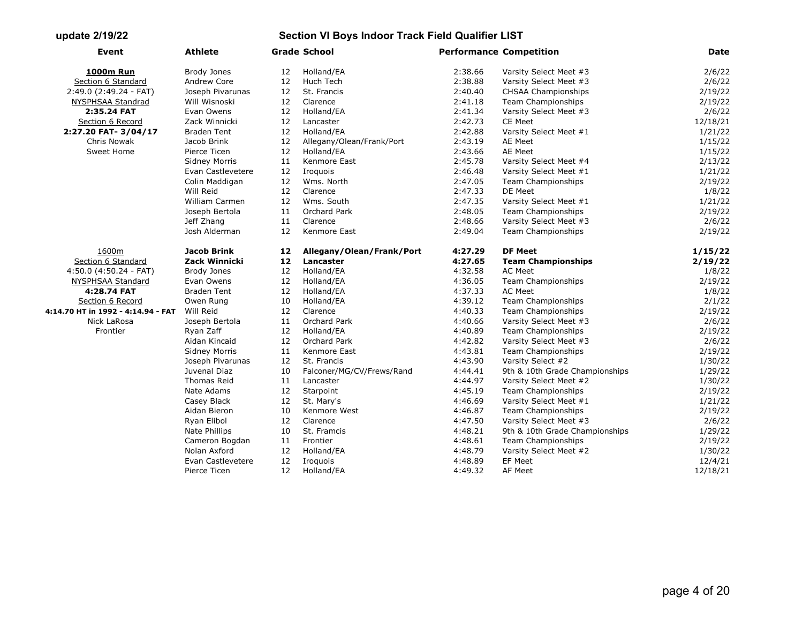### **update 2/19/22 Section VI Boys Indoor Track Field Qualifier LIST Event Athlete Grade School Performance Competition Date 1000m Run** Brody Jones 12 Holland/EA 2:38.66 Varsity Select Meet #3 2/6/22 Section 6 Standard More Andrew Core 12 Huch Tech 2:38.88 Varsity Select Meet #3 2/6/22<br>19 And CHSAA Championships 2019/22 2:38.88 Varsity Select Meet #3 2/6/22 2:49.0 (2:49.24 - FAT) Joseph Pivarunas 12 St. Francis 2:40.40 CHSAA Championships 2/19/22 NYSPHSAA Standrad Will Wisnoski 12 Clarence 2:41.18 Team Championships 2/19/22 **2:35.24 FAT** Evan Owens 12 Holland/EA 2:41.34 Varsity Select Meet #3 2/6/22 Section 6 Record Zack Winnicki 12 Lancaster 2:42.73 CE Meet 12/18/21 **2:27.20 FAT- 3/04/17** Braden Tent 12 Holland/EA 2:42.88 Varsity Select Meet #1 1/21/22 1/21/22 Chris Nowak Jacob Brink 12 Allegany/Olean/Frank/Port 2:43.19 AE Meet 1/15/22 Sweet Home Pierce Ticen 12 Holland/EA 2:43.66 AE Meet 1/15/22 Sidney Morris 11 Kenmore East 2:45.78 Varsity Select Meet #4 2/13/22 Evan Castlevetere 12 Iroquois 2:46.48 Varsity Select Meet #1 1/21/22 Colin Maddigan 12 Wms. North 2:47.05 Team Championships 2/19/22 Will Reid 12 Clarence 2:47.33 DE Meet 1/8/22 William Carmen 12 Wms. South 2:47.35 Varsity Select Meet #1 1/21/22 1/21/22 Joseph Bertola 11 Orchard Park 2:48.05 Team Championships 2/19/22 Jeff Zhang 11 Clarence 2:48.66 Varsity Select Meet #3 2/6/22 Josh Alderman 12 Kenmore East 2:49.04 Team Championships 2/19/22 1600m **Jacob Brink 12 Allegany/Olean/Frank/Port 4:27.29 DF Meet 1/15/22** Section 6 Standard **Zack Winnicki 12 Lancaster 4:27.65 Team Championships 2/19/22** 4:50.0 (4:50.24 - FAT) Brody Jones 12 Holland/EA 4:32.58 AC Meet 1/8/22 NYSPHSAA Standard Evan Owens 12 Holland/EA 4:36.05 Team Championships 2/19/22 **4:28.74 FAT** Braden Tent 12 Holland/EA 4:37.33 AC Meet 1/8/22 Section 6 Record Cwen Rung 10 Holland/EA 4:39.12 Team Championships 2/1/22 **4:14.70 HT in 1992 - 4:14.94 - FAT** Will Reid 12 Clarence 4:40.33 Team Championships 2/19/22 Nick LaRosa Joseph Bertola 11 Orchard Park 4:40.66 Varsity Select Meet #3 2/6/22 Frontier Ryan Zaff 12 Holland/EA 4:40.89 Team Championships 2/19/22 Aidan Kincaid 12 Orchard Park 4:42.82 Varsity Select Meet #3 2/6/22 Sidney Morris 11 Kenmore East 4:43.81 Team Championships 2/19/22 Joseph Pivarunas 12 St. Francis 4:43.90 Varsity Select #2 1/30/22 Juvenal Diaz 10 Falconer/MG/CV/Frews/Rand 4:44.41 9th & 10th Grade Championships 1/29/22 Thomas Reid 11 Lancaster 4:44.97 Varsity Select Meet #2 1/30/22 Nate Adams 12 Starpoint 4:45.19 Team Championships 2/19/22 Casey Black 12 St. Mary's 4:46.69 Varsity Select Meet #1 1/21/22 Aidan Bieron 10 Kenmore West 4:46.87 Team Championships 2/19/22 Ryan Elibol 12 Clarence 12 Clarence 4:47.50 Varsity Select Meet #3 2/6/22 Nate Phillips 10 St. Framcis 1/29/22 4:48.21 9th & 10th Grade Championships 1/29/22 Cameron Bogdan 11 Frontier 4:48.61 Team Championships 2/19/22 Nolan Axford 12 Holland/EA 4:48.79 Varsity Select Meet #2 1/30/22 Evan Castlevetere 12 Iroquois 12.18.89 EF Meet 12/4/21 Pierce Ticen 12 Holland/EA 4:49.32 AF Meet 12/18/21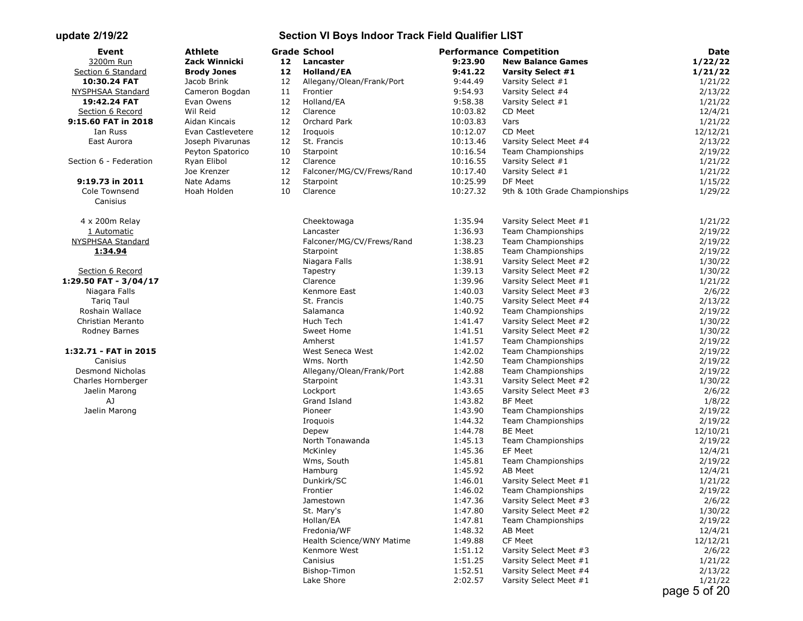| Event                    | <b>Athlete</b>     |    | <b>Grade School</b>       | <b>Performance Competition</b> |                                | <b>Date</b> |
|--------------------------|--------------------|----|---------------------------|--------------------------------|--------------------------------|-------------|
| 3200m Run                | Zack Winnicki      | 12 | Lancaster                 | 9:23.90                        | <b>New Balance Games</b>       | 1/22/22     |
| Section 6 Standard       | <b>Brody Jones</b> | 12 | Holland/EA                | 9:41.22                        | <b>Varsity Select #1</b>       | 1/21/22     |
| 10:30.24 FAT             | Jacob Brink        | 12 | Allegany/Olean/Frank/Port | 9:44.49                        | Varsity Select #1              | 1/21/22     |
| <b>NYSPHSAA Standard</b> | Cameron Bogdan     | 11 | Frontier                  | 9:54.93                        | Varsity Select #4              | 2/13/22     |
| 19:42.24 FAT             | Evan Owens         | 12 | Holland/EA                | 9:58.38                        | Varsity Select #1              | 1/21/22     |
| Section 6 Record         | Wil Reid           | 12 | Clarence                  | 10:03.82                       | CD Meet                        | 12/4/21     |
| 9:15.60 FAT in 2018      | Aidan Kincais      | 12 | Orchard Park              | 10:03.83                       | Vars                           | 1/21/22     |
| Ian Russ                 | Evan Castlevetere  | 12 | Iroquois                  | 10:12.07                       | CD Meet                        | 12/12/21    |
| East Aurora              | Joseph Pivarunas   | 12 | St. Francis               | 10:13.46                       | Varsity Select Meet #4         | 2/13/22     |
|                          | Peyton Spatorico   | 10 | Starpoint                 | 10:16.54                       | Team Championships             | 2/19/22     |
| Section 6 - Federation   | Ryan Elibol        | 12 | Clarence                  | 10:16.55                       | Varsity Select #1              | 1/21/22     |
|                          | Joe Krenzer        | 12 | Falconer/MG/CV/Frews/Rand | 10:17.40                       | Varsity Select #1              | 1/21/22     |
| 9:19.73 in 2011          | Nate Adams         | 12 | Starpoint                 | 10:25.99                       | DF Meet                        | 1/15/22     |
| Cole Townsend            | Hoah Holden        | 10 | Clarence                  | 10:27.32                       | 9th & 10th Grade Championships | 1/29/22     |
| Canisius                 |                    |    |                           |                                |                                |             |
| $4 \times 200$ m Relay   |                    |    | Cheektowaga               | 1:35.94                        | Varsity Select Meet #1         | 1/21/22     |
| 1 Automatic              |                    |    | Lancaster                 | 1:36.93                        | Team Championships             | 2/19/22     |
| <b>NYSPHSAA Standard</b> |                    |    | Falconer/MG/CV/Frews/Rand | 1:38.23                        | Team Championships             | 2/19/22     |
| 1:34.94                  |                    |    | Starpoint                 | 1:38.85                        | Team Championships             | 2/19/22     |
|                          |                    |    | Niagara Falls             | 1:38.91                        | Varsity Select Meet #2         | 1/30/22     |
| Section 6 Record         |                    |    | Tapestry                  | 1:39.13                        | Varsity Select Meet #2         | 1/30/22     |
| 1:29.50 FAT - 3/04/17    |                    |    | Clarence                  | 1:39.96                        | Varsity Select Meet #1         | 1/21/22     |
| Niagara Falls            |                    |    | Kenmore East              | 1:40.03                        | Varsity Select Meet #3         | 2/6/22      |
| <b>Tarig Taul</b>        |                    |    | St. Francis               | 1:40.75                        | Varsity Select Meet #4         | 2/13/22     |
| Roshain Wallace          |                    |    | Salamanca                 | 1:40.92                        | Team Championships             | 2/19/22     |
| <b>Christian Meranto</b> |                    |    | Huch Tech                 | 1:41.47                        | Varsity Select Meet #2         | 1/30/22     |
| Rodney Barnes            |                    |    | Sweet Home                | 1:41.51                        | Varsity Select Meet #2         | 1/30/22     |
|                          |                    |    | Amherst                   | 1:41.57                        | <b>Team Championships</b>      | 2/19/22     |
| 1:32.71 - FAT in 2015    |                    |    | West Seneca West          | 1:42.02                        | Team Championships             | 2/19/22     |
| Canisius                 |                    |    | Wms. North                | 1:42.50                        | Team Championships             | 2/19/22     |
| Desmond Nicholas         |                    |    | Allegany/Olean/Frank/Port | 1:42.88                        | Team Championships             | 2/19/22     |
| Charles Hornberger       |                    |    | Starpoint                 | 1:43.31                        | Varsity Select Meet #2         | 1/30/22     |
| Jaelin Marong            |                    |    | Lockport                  | 1:43.65                        | Varsity Select Meet #3         | 2/6/22      |
| AJ                       |                    |    | Grand Island              | 1:43.82                        | <b>BF Meet</b>                 | 1/8/22      |
| Jaelin Marong            |                    |    | Pioneer                   | 1:43.90                        | Team Championships             | 2/19/22     |
|                          |                    |    | Iroquois                  | 1:44.32                        | Team Championships             | 2/19/22     |
|                          |                    |    | Depew                     | 1:44.78                        | <b>BE Meet</b>                 | 12/10/21    |
|                          |                    |    | North Tonawanda           | 1:45.13                        |                                | 2/19/22     |
|                          |                    |    | McKinley                  | 1:45.36                        | Team Championships<br>EF Meet  |             |
|                          |                    |    | Wms, South                | 1:45.81                        |                                | 12/4/21     |
|                          |                    |    |                           |                                | Team Championships             | 2/19/22     |
|                          |                    |    | Hamburg                   | 1:45.92                        | AB Meet                        | 12/4/21     |
|                          |                    |    | Dunkirk/SC                | 1:46.01                        | Varsity Select Meet #1         | 1/21/22     |
|                          |                    |    | Frontier                  | 1:46.02                        | Team Championships             | 2/19/22     |
|                          |                    |    | Jamestown                 | 1:47.36                        | Varsity Select Meet #3         | 2/6/22      |
|                          |                    |    | St. Mary's                | 1:47.80                        | Varsity Select Meet #2         | 1/30/22     |
|                          |                    |    | Hollan/EA                 | 1:47.81                        | Team Championships             | 2/19/22     |
|                          |                    |    | Fredonia/WF               | 1:48.32                        | AB Meet                        | 12/4/21     |
|                          |                    |    | Health Science/WNY Matime | 1:49.88                        | CF Meet                        | 12/12/21    |
|                          |                    |    | Kenmore West              | 1:51.12                        | Varsity Select Meet #3         | 2/6/22      |
|                          |                    |    | Canisius                  | 1:51.25                        | Varsity Select Meet #1         | 1/21/22     |
|                          |                    |    | Bishop-Timon              | 1:52.51                        | Varsity Select Meet #4         | 2/13/22     |
|                          |                    |    | Lake Shore                | 2:02.57                        | Varsity Select Meet #1         | 1/21/22     |

page 5 of 20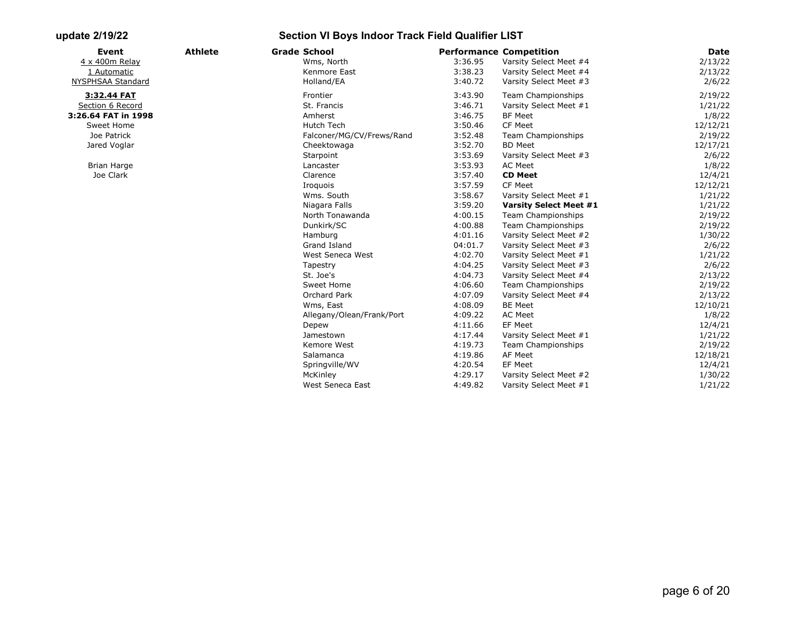| Event               | <b>Athlete</b> | <b>Grade School</b>       | <b>Performance Competition</b> |                               | <b>Date</b> |
|---------------------|----------------|---------------------------|--------------------------------|-------------------------------|-------------|
| 4 x 400m Relay      |                | Wms, North                | 3:36.95                        | Varsity Select Meet #4        | 2/13/22     |
| 1 Automatic         |                | Kenmore East              | 3:38.23                        | Varsity Select Meet #4        | 2/13/22     |
| NYSPHSAA Standard   |                | Holland/EA                | 3:40.72                        | Varsity Select Meet #3        | 2/6/22      |
| <u>3:32.44 FAT</u>  |                | Frontier                  | 3:43.90                        | Team Championships            | 2/19/22     |
| Section 6 Record    |                | St. Francis               | 3:46.71                        | Varsity Select Meet #1        | 1/21/22     |
| 3:26.64 FAT in 1998 |                | Amherst                   | 3:46.75                        | <b>BF Meet</b>                | 1/8/22      |
| Sweet Home          |                | Hutch Tech                | 3:50.46                        | <b>CF Meet</b>                | 12/12/21    |
| Joe Patrick         |                | Falconer/MG/CV/Frews/Rand | 3:52.48                        | Team Championships            | 2/19/22     |
| Jared Voglar        |                | Cheektowaga               | 3:52.70                        | <b>BD Meet</b>                | 12/17/21    |
|                     |                | Starpoint                 | 3:53.69                        | Varsity Select Meet #3        | 2/6/22      |
| <b>Brian Harge</b>  |                | Lancaster                 | 3:53.93                        | AC Meet                       | 1/8/22      |
| Joe Clark           |                | Clarence                  | 3:57.40                        | <b>CD Meet</b>                | 12/4/21     |
|                     |                | Iroquois                  | 3:57.59                        | <b>CF Meet</b>                | 12/12/21    |
|                     |                | Wms. South                | 3:58.67                        | Varsity Select Meet #1        | 1/21/22     |
|                     |                | Niagara Falls             | 3:59.20                        | <b>Varsity Select Meet #1</b> | 1/21/22     |
|                     |                | North Tonawanda           | 4:00.15                        | Team Championships            | 2/19/22     |
|                     |                | Dunkirk/SC                | 4:00.88                        | Team Championships            | 2/19/22     |
|                     |                | Hamburg                   | 4:01.16                        | Varsity Select Meet #2        | 1/30/22     |
|                     |                | Grand Island              | 04:01.7                        | Varsity Select Meet #3        | 2/6/22      |
|                     |                | West Seneca West          | 4:02.70                        | Varsity Select Meet #1        | 1/21/22     |
|                     |                | Tapestry                  | 4:04.25                        | Varsity Select Meet #3        | 2/6/22      |
|                     |                | St. Joe's                 | 4:04.73                        | Varsity Select Meet #4        | 2/13/22     |
|                     |                | Sweet Home                | 4:06.60                        | Team Championships            | 2/19/22     |
|                     |                | Orchard Park              | 4:07.09                        | Varsity Select Meet #4        | 2/13/22     |
|                     |                | Wms, East                 | 4:08.09                        | <b>BE Meet</b>                | 12/10/21    |
|                     |                | Allegany/Olean/Frank/Port | 4:09.22                        | <b>AC Meet</b>                | 1/8/22      |
|                     |                | Depew                     | 4:11.66                        | EF Meet                       | 12/4/21     |
|                     |                | Jamestown                 | 4:17.44                        | Varsity Select Meet #1        | 1/21/22     |
|                     |                | Kemore West               | 4:19.73                        | Team Championships            | 2/19/22     |
|                     |                | Salamanca                 | 4:19.86                        | AF Meet                       | 12/18/21    |
|                     |                | Springville/WV            | 4:20.54                        | EF Meet                       | 12/4/21     |
|                     |                | McKinley                  | 4:29.17                        | Varsity Select Meet #2        | 1/30/22     |
|                     |                | West Seneca East          | 4:49.82                        | Varsity Select Meet #1        | 1/21/22     |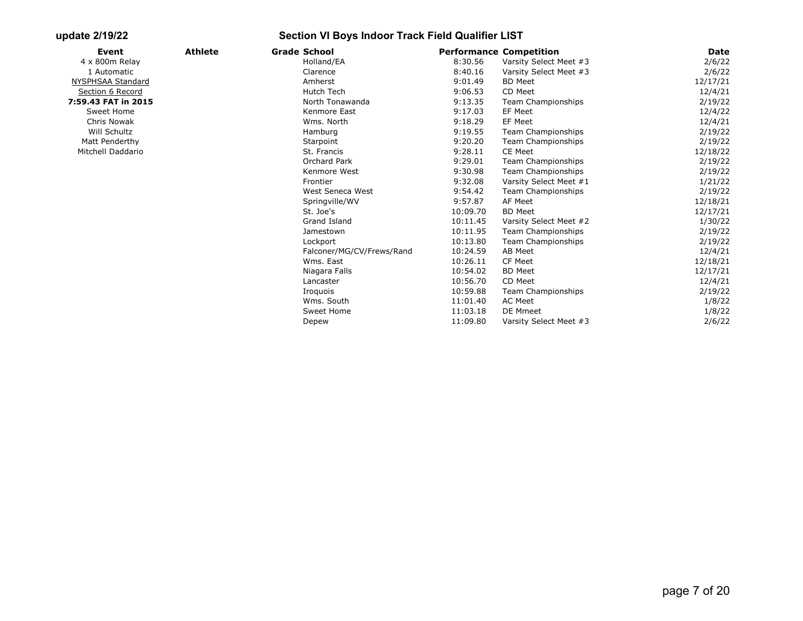| Event               | <b>Athlete</b> | <b>Grade School</b>       | <b>Performance Competition</b> |                           | Date     |
|---------------------|----------------|---------------------------|--------------------------------|---------------------------|----------|
| 4 x 800m Relay      |                | Holland/EA                | 8:30.56                        | Varsity Select Meet #3    | 2/6/22   |
| 1 Automatic         |                | Clarence                  | 8:40.16                        | Varsity Select Meet #3    | 2/6/22   |
| NYSPHSAA Standard   |                | Amherst                   | 9:01.49                        | <b>BD Meet</b>            | 12/17/21 |
| Section 6 Record    |                | Hutch Tech                | 9:06.53                        | CD Meet                   | 12/4/21  |
| 7:59.43 FAT in 2015 |                | North Tonawanda           | 9:13.35                        | Team Championships        | 2/19/22  |
| Sweet Home          |                | Kenmore East              | 9:17.03                        | EF Meet                   | 12/4/22  |
| Chris Nowak         |                | Wms. North                | 9:18.29                        | <b>EF Meet</b>            | 12/4/21  |
| Will Schultz        |                | Hamburg                   | 9:19.55                        | Team Championships        | 2/19/22  |
| Matt Penderthy      |                | Starpoint                 | 9:20.20                        | Team Championships        | 2/19/22  |
| Mitchell Daddario   |                | St. Francis               | 9:28.11                        | <b>CE Meet</b>            | 12/18/22 |
|                     |                | Orchard Park              | 9:29.01                        | Team Championships        | 2/19/22  |
|                     |                | Kenmore West              | 9:30.98                        | Team Championships        | 2/19/22  |
|                     |                | Frontier                  | 9:32.08                        | Varsity Select Meet #1    | 1/21/22  |
|                     |                | West Seneca West          | 9:54.42                        | Team Championships        | 2/19/22  |
|                     |                | Springville/WV            | 9:57.87                        | AF Meet                   | 12/18/21 |
|                     |                | St. Joe's                 | 10:09.70                       | <b>BD Meet</b>            | 12/17/21 |
|                     |                | Grand Island              | 10:11.45                       | Varsity Select Meet #2    | 1/30/22  |
|                     |                | Jamestown                 | 10:11.95                       | <b>Team Championships</b> | 2/19/22  |
|                     |                | Lockport                  | 10:13.80                       | Team Championships        | 2/19/22  |
|                     |                | Falconer/MG/CV/Frews/Rand | 10:24.59                       | AB Meet                   | 12/4/21  |
|                     |                | Wms. East                 | 10:26.11                       | CF Meet                   | 12/18/21 |
|                     |                | Niagara Falls             | 10:54.02                       | <b>BD</b> Meet            | 12/17/21 |
|                     |                | Lancaster                 | 10:56.70                       | CD Meet                   | 12/4/21  |
|                     |                | Iroquois                  | 10:59.88                       | <b>Team Championships</b> | 2/19/22  |
|                     |                | Wms. South                | 11:01.40                       | AC Meet                   | 1/8/22   |
|                     |                | Sweet Home                | 11:03.18                       | DE Mmeet                  | 1/8/22   |
|                     |                | Depew                     | 11:09.80                       | Varsity Select Meet #3    | 2/6/22   |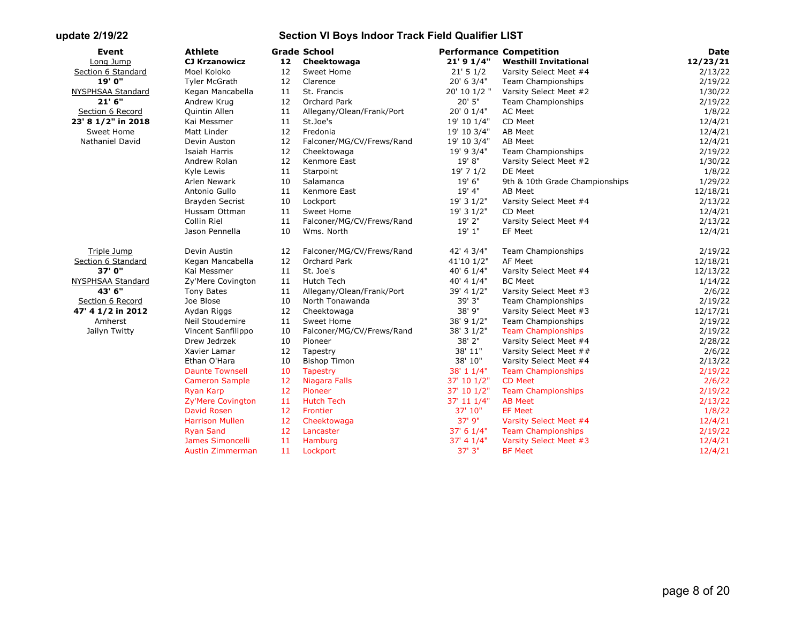| Event              | <b>Athlete</b>           |                   | <b>Grade School</b>       | <b>Performance Competition</b> |                                | Date     |
|--------------------|--------------------------|-------------------|---------------------------|--------------------------------|--------------------------------|----------|
| Long Jump          | <b>CJ Krzanowicz</b>     | $12$              | Cheektowaga               | $21'$ 9 $1/4"$                 | <b>Westhill Invitational</b>   | 12/23/21 |
| Section 6 Standard | Moel Koloko              | 12                | Sweet Home                | 21' 51/2                       | Varsity Select Meet #4         | 2/13/22  |
| 19' 0"             | <b>Tyler McGrath</b>     | 12                | Clarence                  | 20' 6 3/4"                     | Team Championships             | 2/19/22  |
| NYSPHSAA Standard  | Kegan Mancabella         | 11                | St. Francis               | 20' 10 1/2 "                   | Varsity Select Meet #2         | 1/30/22  |
| $21'$ 6"           | Andrew Krug              | 12                | Orchard Park              | 20' 5"                         | <b>Team Championships</b>      | 2/19/22  |
| Section 6 Record   | Quintin Allen            | 11                | Allegany/Olean/Frank/Port | 20' 0 1/4"                     | AC Meet                        | 1/8/22   |
| 23' 8 1/2" in 2018 | Kai Messmer              | 11                | St.Joe's                  | 19' 10 1/4"                    | CD Meet                        | 12/4/21  |
| Sweet Home         | <b>Matt Linder</b>       | 12                | Fredonia                  | 19' 10 3/4"                    | AB Meet                        | 12/4/21  |
| Nathaniel David    | Devin Auston             | 12                | Falconer/MG/CV/Frews/Rand | 19' 10 3/4"                    | AB Meet                        | 12/4/21  |
|                    | Isaiah Harris            | 12                | Cheektowaga               | 19' 9 3/4"                     | <b>Team Championships</b>      | 2/19/22  |
|                    | Andrew Rolan             | 12                | Kenmore East              | 19' 8"                         | Varsity Select Meet #2         | 1/30/22  |
|                    | Kyle Lewis               | 11                | Starpoint                 | 19' 7 1/2                      | DE Meet                        | 1/8/22   |
|                    | Arlen Newark             | 10                | Salamanca                 | 19' 6"                         | 9th & 10th Grade Championships | 1/29/22  |
|                    | Antonio Gullo            | 11                | Kenmore East              | 19' 4"                         | AB Meet                        | 12/18/21 |
|                    | Brayden Secrist          | 10                | Lockport                  | 19' 3 1/2"                     | Varsity Select Meet #4         | 2/13/22  |
|                    | Hussam Ottman            | 11                | Sweet Home                | 19' 3 1/2"                     | CD Meet                        | 12/4/21  |
|                    | Collin Riel              | 11                | Falconer/MG/CV/Frews/Rand | 19' 2"                         | Varsity Select Meet #4         | 2/13/22  |
|                    | Jason Pennella           | 10                | Wms. North                | 19' 1"                         | EF Meet                        | 12/4/21  |
| Triple Jump        | Devin Austin             | 12                | Falconer/MG/CV/Frews/Rand | 42' 4 3/4"                     | <b>Team Championships</b>      | 2/19/22  |
| Section 6 Standard | Kegan Mancabella         | 12                | Orchard Park              | 41'10 1/2"                     | AF Meet                        | 12/18/21 |
| 37' 0"             | Kai Messmer              | 11                | St. Joe's                 | 40' 6 1/4"                     | Varsity Select Meet #4         | 12/13/22 |
| NYSPHSAA Standard  | Zy'Mere Covington        | 11                | <b>Hutch Tech</b>         | 40' 4 1/4"                     | <b>BC Meet</b>                 | 1/14/22  |
| 43' 6"             | Tony Bates               | 11                | Allegany/Olean/Frank/Port | 39' 4 1/2"                     | Varsity Select Meet #3         | 2/6/22   |
| Section 6 Record   | Joe Blose                | 10                | North Tonawanda           | 39' 3"                         | <b>Team Championships</b>      | 2/19/22  |
| 47' 4 1/2 in 2012  | Aydan Riggs              | 12                | Cheektowaga               | 38' 9"                         | Varsity Select Meet #3         | 12/17/21 |
| Amherst            | Neil Stoudemire          | 11                | Sweet Home                | 38' 9 1/2"                     | Team Championships             | 2/19/22  |
| Jailyn Twitty      | Vincent Sanfilippo       | 10                | Falconer/MG/CV/Frews/Rand | 38' 3 1/2"                     | <b>Team Championships</b>      | 2/19/22  |
|                    | Drew Jedrzek             | 10                | Pioneer                   | 38' 2"                         | Varsity Select Meet #4         | 2/28/22  |
|                    | Xavier Lamar             | 12                | Tapestry                  | 38' 11"                        | Varsity Select Meet ##         | 2/6/22   |
|                    | Ethan O'Hara             | 10                | <b>Bishop Timon</b>       | 38' 10"                        | Varsity Select Meet #4         | 2/13/22  |
|                    | <b>Daunte Townsell</b>   | 10                | <b>Tapestry</b>           | 38' 1 1/4"                     | <b>Team Championships</b>      | 2/19/22  |
|                    | <b>Cameron Sample</b>    | 12                | Niagara Falls             | 37' 10 1/2"                    | <b>CD Meet</b>                 | 2/6/22   |
|                    | <b>Ryan Karp</b>         | 12                | Pioneer                   | 37' 10 1/2"                    | <b>Team Championships</b>      | 2/19/22  |
|                    | <b>Zy'Mere Covington</b> | 11                | <b>Hutch Tech</b>         | 37' 11 1/4"                    | <b>AB Meet</b>                 | 2/13/22  |
|                    | David Rosen              | 12                | Frontier                  | 37' 10"                        | <b>EF Meet</b>                 | 1/8/22   |
|                    | <b>Harrison Mullen</b>   | 12                | Cheektowaga               | 37' 9"                         | Varsity Select Meet #4         | 12/4/21  |
|                    | <b>Ryan Sand</b>         | $12 \overline{ }$ | Lancaster                 | 37' 6 1/4"                     | <b>Team Championships</b>      | 2/19/22  |
|                    | James Simoncelli         | 11                | Hamburg                   | 37' 4 1/4"                     | Varsity Select Meet #3         | 12/4/21  |
|                    | Austin Zimmerman         | 11                | Lockport                  | 37'3''                         | <b>BF Meet</b>                 | 12/4/21  |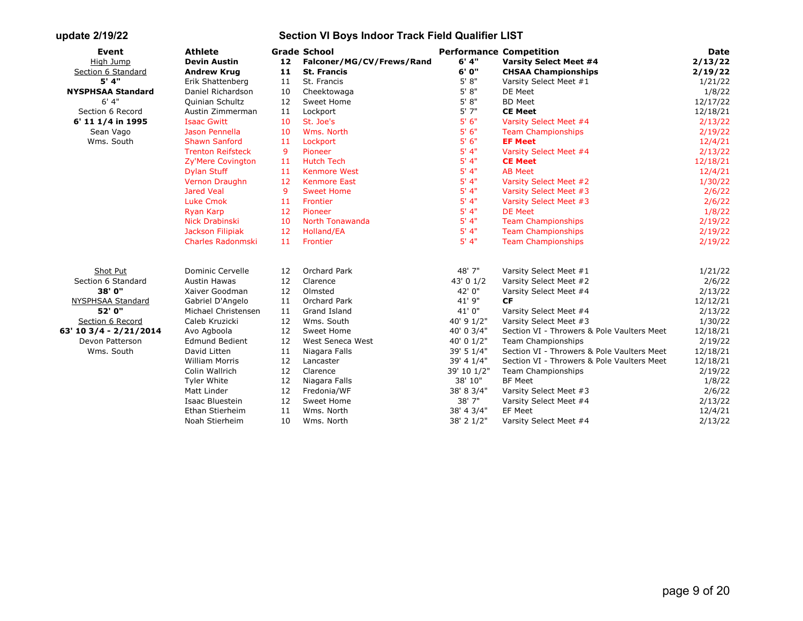| Event                    | <b>Athlete</b>           |                 | <b>Grade School</b>       | <b>Performance Competition</b> |                                            | <b>Date</b> |
|--------------------------|--------------------------|-----------------|---------------------------|--------------------------------|--------------------------------------------|-------------|
| High Jump                | <b>Devin Austin</b>      | 12 <sub>1</sub> | Falconer/MG/CV/Frews/Rand | 6' 4"                          | <b>Varsity Select Meet #4</b>              | 2/13/22     |
| Section 6 Standard       | <b>Andrew Krug</b>       | 11              | <b>St. Francis</b>        | 6' 0"                          | <b>CHSAA Championships</b>                 | 2/19/22     |
| 5' 4"                    | Erik Shattenberg         | 11              | St. Francis               | 5' 8''                         | Varsity Select Meet #1                     | 1/21/22     |
| <b>NYSPHSAA Standard</b> | Daniel Richardson        | 10              | Cheektowaga               | 5' 8''                         | DE Meet                                    | 1/8/22      |
| 6' 4''                   | Quinian Schultz          | 12              | Sweet Home                | 5' 8''                         | <b>BD Meet</b>                             | 12/17/22    |
| Section 6 Record         | Austin Zimmerman         | 11              | Lockport                  | 5'7''                          | <b>CE Meet</b>                             | 12/18/21    |
| 6' 11 1/4 in 1995        | <b>Isaac Gwitt</b>       | 10              | St. Joe's                 | 5'6''                          | Varsity Select Meet #4                     | 2/13/22     |
| Sean Vago                | Jason Pennella           | 10              | Wms. North                | 5' 6''                         | <b>Team Championships</b>                  | 2/19/22     |
| Wms. South               | <b>Shawn Sanford</b>     | 11              | Lockport                  | 5' 6''                         | <b>EF Meet</b>                             | 12/4/21     |
|                          | <b>Trenton Reifsteck</b> | 9               | Pioneer                   | $5'$ 4"                        | Varsity Select Meet #4                     | 2/13/22     |
|                          | Zy'Mere Covington        | 11              | <b>Hutch Tech</b>         | $5'$ 4"                        | <b>CE Meet</b>                             | 12/18/21    |
|                          | <b>Dylan Stuff</b>       | 11              | <b>Kenmore West</b>       | $5'$ 4"                        | <b>AB Meet</b>                             | 12/4/21     |
|                          | Vernon Draughn           | 12              | <b>Kenmore East</b>       | $5'$ 4"                        | Varsity Select Meet #2                     | 1/30/22     |
|                          | <b>Jared Veal</b>        | 9               | <b>Sweet Home</b>         | $5'$ 4"                        | Varsity Select Meet #3                     | 2/6/22      |
|                          | Luke Cmok                | 11              | Frontier                  | 5' 4"                          | Varsity Select Meet #3                     | 2/6/22      |
|                          | <b>Ryan Karp</b>         | 12              | Pioneer                   | 5' 4"                          | <b>DE Meet</b>                             | 1/8/22      |
|                          | Nick Drabinski           | 10              | <b>North Tonawanda</b>    | $5'$ 4"                        | <b>Team Championships</b>                  | 2/19/22     |
|                          | Jackson Filipiak         | 12              | Holland/EA                | $5'$ 4"                        | <b>Team Championships</b>                  | 2/19/22     |
|                          | Charles Radonmski        | 11              | Frontier                  | 5' 4"                          | <b>Team Championships</b>                  | 2/19/22     |
| Shot Put                 | Dominic Cervelle         | 12              | Orchard Park              | 48' 7"                         | Varsity Select Meet #1                     | 1/21/22     |
| Section 6 Standard       | <b>Austin Hawas</b>      | 12              | Clarence                  | 43' 0 1/2                      | Varsity Select Meet #2                     | 2/6/22      |
| 38' 0"                   | Xaiver Goodman           | 12              | Olmsted                   | 42' 0"                         | Varsity Select Meet #4                     | 2/13/22     |
| NYSPHSAA Standard        | Gabriel D'Angelo         | 11              | Orchard Park              | 41' 9"                         | <b>CF</b>                                  | 12/12/21    |
| 52' 0"                   | Michael Christensen      | 11              | Grand Island              | 41'0"                          | Varsity Select Meet #4                     | 2/13/22     |
| Section 6 Record         | Caleb Kruzicki           | 12              | Wms. South                | 40' 9 1/2"                     | Varsity Select Meet #3                     | 1/30/22     |
| 63' 10 3/4 - 2/21/2014   | Avo Agboola              | 12              | Sweet Home                | 40' 0 3/4"                     | Section VI - Throwers & Pole Vaulters Meet | 12/18/21    |
| Devon Patterson          | <b>Edmund Bedient</b>    | 12              | West Seneca West          | 40' 0 1/2"                     | <b>Team Championships</b>                  | 2/19/22     |
| Wms. South               | David Litten             | 11              | Niagara Falls             | 39' 5 1/4"                     | Section VI - Throwers & Pole Vaulters Meet | 12/18/21    |
|                          | <b>William Morris</b>    | 12              | Lancaster                 | 39' 4 1/4"                     | Section VI - Throwers & Pole Vaulters Meet | 12/18/21    |
|                          | Colin Wallrich           | 12              | Clarence                  | 39' 10 1/2"                    | Team Championships                         | 2/19/22     |
|                          | <b>Tyler White</b>       | 12              | Niagara Falls             | 38' 10"                        | <b>BF Meet</b>                             | 1/8/22      |
|                          | Matt Linder              | 12              | Fredonia/WF               | 38' 8 3/4"                     | Varsity Select Meet #3                     | 2/6/22      |
|                          | Isaac Bluestein          | 12              | Sweet Home                | 38' 7"                         | Varsity Select Meet #4                     | 2/13/22     |
|                          | Ethan Stierheim          | 11              | Wms. North                | 38' 4 3/4"                     | EF Meet                                    | 12/4/21     |
|                          | Noah Stierheim           | 10              | Wms. North                | 38' 2 1/2"                     | Varsity Select Meet #4                     | 2/13/22     |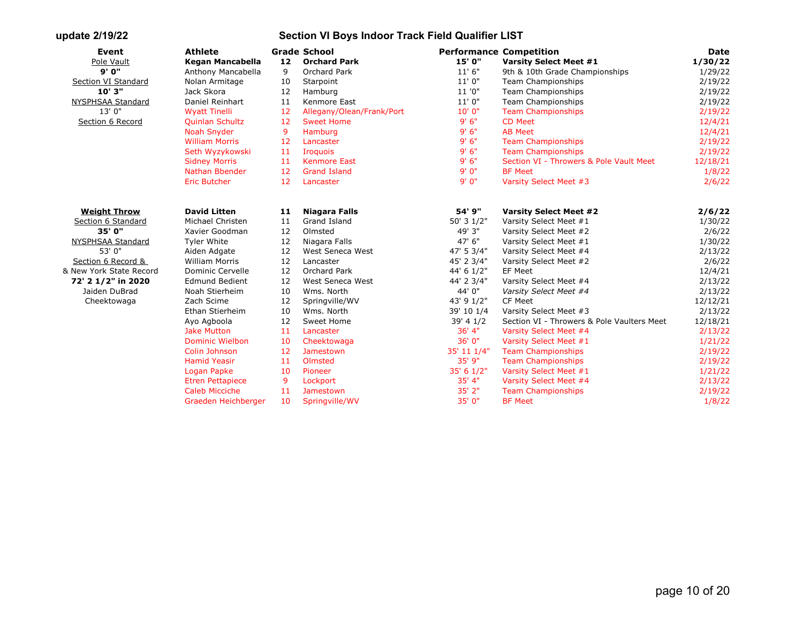| Event                   | <b>Athlete</b>          |                 | <b>Grade School</b>       | <b>Performance Competition</b> |                                            | <b>Date</b> |
|-------------------------|-------------------------|-----------------|---------------------------|--------------------------------|--------------------------------------------|-------------|
| Pole Vault<br>9' 0"     | Kegan Mancabella        | 12 <sub>2</sub> | <b>Orchard Park</b>       | 15' 0"                         | <b>Varsity Select Meet #1</b>              | 1/30/22     |
|                         | Anthony Mancabella      | 9               | Orchard Park              | 11'6''                         | 9th & 10th Grade Championships             | 1/29/22     |
| Section VI Standard     | Nolan Armitage          | 10              | Starpoint                 | 11'0''                         | Team Championships                         | 2/19/22     |
| 10' 3"                  | Jack Skora              | 12              | Hamburg                   | 11 '0"                         | Team Championships                         | 2/19/22     |
| NYSPHSAA Standard       | Daniel Reinhart         | 11              | Kenmore East              | 11' 0"                         | Team Championships                         | 2/19/22     |
| 13' 0"                  | <b>Wyatt Tinelli</b>    | 12              | Allegany/Olean/Frank/Port | 10' 0"                         | <b>Team Championships</b>                  | 2/19/22     |
| Section 6 Record        | <b>Quinlan Schultz</b>  | 12              | <b>Sweet Home</b>         | 9'6''                          | <b>CD Meet</b>                             | 12/4/21     |
|                         | <b>Noah Snyder</b>      | 9               | Hamburg                   | 9'6''                          | <b>AB Meet</b>                             | 12/4/21     |
|                         | <b>William Morris</b>   | 12              | Lancaster                 | 9'6''                          | <b>Team Championships</b>                  | 2/19/22     |
|                         | Seth Wyzykowski         | 11              | <b>Iroquois</b>           | 9'6''                          | <b>Team Championships</b>                  | 2/19/22     |
|                         | <b>Sidney Morris</b>    | 11              | <b>Kenmore East</b>       | 9'6''                          | Section VI - Throwers & Pole Vault Meet    | 12/18/21    |
|                         | Nathan Bbender          | 12              | <b>Grand Island</b>       | 9'0''                          | <b>BF Meet</b>                             | 1/8/22      |
|                         | <b>Eric Butcher</b>     | 12              | Lancaster                 | 9'0"                           | Varsity Select Meet #3                     | 2/6/22      |
| <b>Weight Throw</b>     | <b>David Litten</b>     | 11              | Niagara Falls             | 54' 9"                         | <b>Varsity Select Meet #2</b>              | 2/6/22      |
| Section 6 Standard      | Michael Christen        | 11              | Grand Island              | 50' 3 1/2"                     | Varsity Select Meet #1                     | 1/30/22     |
| 35' 0"                  | Xavier Goodman          | 12              | Olmsted                   | 49' 3"                         | Varsity Select Meet #2                     | 2/6/22      |
| NYSPHSAA Standard       | Tyler White             | 12              | Niagara Falls             | 47' 6"                         | Varsity Select Meet #1                     | 1/30/22     |
| 53' 0"                  | Aiden Adgate            | 12              | West Seneca West          | 47' 5 3/4"                     | Varsity Select Meet #4                     | 2/13/22     |
| Section 6 Record &      | <b>William Morris</b>   | 12              | Lancaster                 | 45' 2 3/4"                     | Varsity Select Meet #2                     | 2/6/22      |
| & New York State Record | Dominic Cervelle        | 12              | Orchard Park              | 44' 6 1/2"                     | EF Meet                                    | 12/4/21     |
| 72' 2 1/2" in 2020      | <b>Edmund Bedient</b>   | 12              | West Seneca West          | 44' 2 3/4"                     | Varsity Select Meet #4                     | 2/13/22     |
| Jaiden DuBrad           | Noah Stierheim          | 10              | Wms. North                | 44' 0"                         | Varsity Select Meet #4                     | 2/13/22     |
| Cheektowaga             | Zach Scime              | 12              | Springville/WV            | 43' 9 1/2"                     | <b>CF Meet</b>                             | 12/12/21    |
|                         | Ethan Stierheim         | 10              | Wms. North                | 39' 10 1/4                     | Varsity Select Meet #3                     | 2/13/22     |
|                         | Ayo Agboola             | 12              | Sweet Home                | 39' 4 1/2                      | Section VI - Throwers & Pole Vaulters Meet | 12/18/21    |
|                         | <b>Jake Mutton</b>      | 11              | Lancaster                 | 36' 4"                         | Varsity Select Meet #4                     | 2/13/22     |
|                         | <b>Dominic Wielbon</b>  | 10              | Cheektowaga               | 36' 0"                         | Varsity Select Meet #1                     | 1/21/22     |
|                         | Colin Johnson           | 12              | Jamestown                 | 35' 11 1/4"                    | <b>Team Championships</b>                  | 2/19/22     |
|                         | <b>Hamid Yeasir</b>     | 11              | Olmsted                   | 35' 9"                         | <b>Team Championships</b>                  | 2/19/22     |
|                         | Logan Papke             | 10              | Pioneer                   | 35' 6 1/2"                     | Varsity Select Meet #1                     | 1/21/22     |
|                         | <b>Etren Pettapiece</b> | 9               | Lockport                  | 35' 4"                         | Varsity Select Meet #4                     | 2/13/22     |
|                         | <b>Caleb Micciche</b>   | 11              | <b>Jamestown</b>          | 35' 2"                         | <b>Team Championships</b>                  | 2/19/22     |
|                         | Graeden Heichberger     | 10              | Springville/WV            | 35' 0"                         | <b>BF Meet</b>                             | 1/8/22      |
|                         |                         |                 |                           |                                |                                            |             |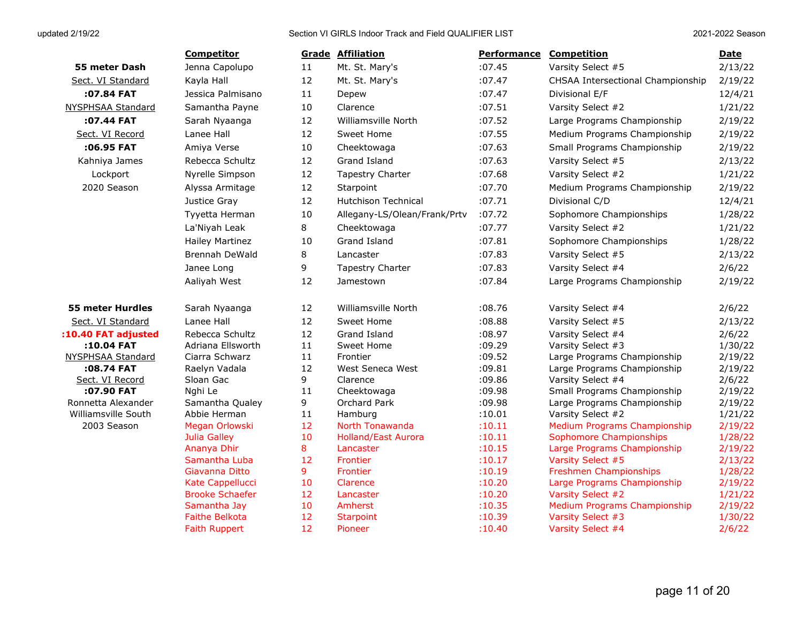| <b>Competitor</b>      |         | <b>Grade Affiliation</b>     | <b>Performance</b> | <b>Competition</b>                  | <u>Date</u> |
|------------------------|---------|------------------------------|--------------------|-------------------------------------|-------------|
| Jenna Capolupo         | 11      | Mt. St. Mary's               | :07.45             | Varsity Select #5                   | 2/13/2      |
| Kayla Hall             | 12      | Mt. St. Mary's               | :07.47             | CHSAA Intersectional Championship   | 2/19/2      |
| Jessica Palmisano      | 11      | Depew                        | :07.47             | Divisional E/F                      | 12/4/2      |
| Samantha Payne         | 10      | Clarence                     | :07.51             | Varsity Select #2                   | 1/21/2      |
| Sarah Nyaanga          | 12      | Williamsville North          | :07.52             | Large Programs Championship         | 2/19/2      |
| Lanee Hall             | 12      | Sweet Home                   | :07.55             | Medium Programs Championship        | 2/19/2      |
| Amiya Verse            | 10      | Cheektowaga                  | :07.63             | Small Programs Championship         | 2/19/2      |
| Rebecca Schultz        | 12      | Grand Island                 | :07.63             | Varsity Select #5                   | 2/13/2      |
| Nyrelle Simpson        | 12      | Tapestry Charter             | :07.68             | Varsity Select #2                   | 1/21/2      |
| Alyssa Armitage        | 12      | Starpoint                    | :07.70             | Medium Programs Championship        | 2/19/2      |
| Justice Gray           | 12      | <b>Hutchison Technical</b>   | :07.71             | Divisional C/D                      | 12/4/2      |
|                        | 10      |                              |                    |                                     |             |
| Tyyetta Herman         |         | Allegany-LS/Olean/Frank/Prtv | :07.72             | Sophomore Championships             | 1/28/2      |
| La'Niyah Leak          | $\bf 8$ | Cheektowaga                  | :07.77             | Varsity Select #2                   | 1/21/2      |
| <b>Hailey Martinez</b> | 10      | Grand Island                 | :07.81             | Sophomore Championships             | 1/28/2      |
| Brennah DeWald         | 8       | Lancaster                    | :07.83             | Varsity Select #5                   | 2/13/2      |
| Janee Long             | 9       | Tapestry Charter             | :07.83             | Varsity Select #4                   | 2/6/22      |
| Aaliyah West           | 12      | Jamestown                    | :07.84             | Large Programs Championship         | 2/19/2      |
| Sarah Nyaanga          | 12      | Williamsville North          | :08.76             | Varsity Select #4                   | 2/6/22      |
| Lanee Hall             | 12      | Sweet Home                   | :08.88             | Varsity Select #5                   | 2/13/2      |
| Rebecca Schultz        | 12      | Grand Island                 | :08.97             | Varsity Select #4                   | 2/6/22      |
| Adriana Ellsworth      | 11      | Sweet Home                   | :09.29             | Varsity Select #3                   | 1/30/2      |
| Ciarra Schwarz         | 11      | Frontier                     | :09.52             | Large Programs Championship         | 2/19/2      |
| Raelyn Vadala          | 12      | West Seneca West             | :09.81             | Large Programs Championship         | 2/19/2      |
| Sloan Gac              | 9       | Clarence                     | :09.86             | Varsity Select #4                   | 2/6/22      |
| Nghi Le                | 11      | Cheektowaga                  | :09.98             | Small Programs Championship         | 2/19/2      |
| Samantha Qualey        | 9       | Orchard Park                 | :09.98             | Large Programs Championship         | 2/19/2      |
| Abbie Herman           | 11      | Hamburg                      | :10.01             | Varsity Select #2                   | 1/21/2      |
| Megan Orlowski         | 12      | North Tonawanda              | :10.11             | <b>Medium Programs Championship</b> | 2/19/2      |
| <b>Julia Galley</b>    | 10      | <b>Holland/East Aurora</b>   | :10.11             | Sophomore Championships             | 1/28/2      |
| Ananya Dhir            | 8       | Lancaster                    | :10.15             | Large Programs Championship         | 2/19/2      |
| Samantha Luba          | 12      | Frontier                     | :10.17             | Varsity Select #5                   | 2/13/2      |
| Giavanna Ditto         | 9       | Frontier                     | :10.19             | Freshmen Championships              | 1/28/2      |
| Kate Cappellucci       | 10      | Clarence                     | :10.20             | Large Programs Championship         | 2/19/2      |
| <b>Brooke Schaefer</b> | 12      | Lancaster                    | :10.20             | Varsity Select #2                   | 1/21/2      |
| Samantha Jay           | 10      | Amherst                      | :10.35             | <b>Medium Programs Championship</b> | 2/19/2      |
| <b>Faithe Belkota</b>  | 12      | <b>Starpoint</b>             | :10.39             | Varsity Select #3                   | 1/30/2      |
| <b>Faith Ruppert</b>   | 12      | Pioneer                      | :10.40             | Varsity Select #4                   | 2/6/22      |

|                     | <b>Competitor</b>      |    | <b>Grade Affiliation</b>     | <b>Performance Competition</b> |                                   | <b>Date</b> |
|---------------------|------------------------|----|------------------------------|--------------------------------|-----------------------------------|-------------|
| 55 meter Dash       | Jenna Capolupo         | 11 | Mt. St. Mary's               | :07.45                         | Varsity Select #5                 | 2/13/22     |
| Sect. VI Standard   | Kayla Hall             | 12 | Mt. St. Mary's               | :07.47                         | CHSAA Intersectional Championship | 2/19/22     |
| :07.84 FAT          | Jessica Palmisano      | 11 | Depew                        | :07.47                         | Divisional E/F                    | 12/4/21     |
| YSPHSAA Standard    | Samantha Payne         | 10 | Clarence                     | :07.51                         | Varsity Select #2                 | 1/21/22     |
| :07.44 FAT          | Sarah Nyaanga          | 12 | Williamsville North          | :07.52                         | Large Programs Championship       | 2/19/22     |
| Sect. VI Record     | Lanee Hall             | 12 | Sweet Home                   | :07.55                         | Medium Programs Championship      | 2/19/22     |
| :06.95 FAT          | Amiya Verse            | 10 | Cheektowaga                  | :07.63                         | Small Programs Championship       | 2/19/22     |
| Kahniya James       | Rebecca Schultz        | 12 | Grand Island                 | :07.63                         | Varsity Select #5                 | 2/13/22     |
| Lockport            | Nyrelle Simpson        | 12 | Tapestry Charter             | :07.68                         | Varsity Select #2                 | 1/21/22     |
| 2020 Season         | Alyssa Armitage        | 12 | Starpoint                    | :07.70                         | Medium Programs Championship      | 2/19/22     |
|                     | Justice Gray           | 12 | <b>Hutchison Technical</b>   | :07.71                         | Divisional C/D                    | 12/4/21     |
|                     | Tyyetta Herman         | 10 | Allegany-LS/Olean/Frank/Prtv | :07.72                         | Sophomore Championships           | 1/28/22     |
|                     | La'Niyah Leak          | 8  | Cheektowaga                  | :07.77                         | Varsity Select #2                 | 1/21/22     |
|                     | <b>Hailey Martinez</b> | 10 | Grand Island                 | :07.81                         | Sophomore Championships           | 1/28/22     |
|                     | Brennah DeWald         | 8  | Lancaster                    | :07.83                         | Varsity Select #5                 | 2/13/22     |
|                     | Janee Long             | 9  | Tapestry Charter             | :07.83                         | Varsity Select #4                 | 2/6/22      |
|                     | Aaliyah West           | 12 | Jamestown                    | :07.84                         | Large Programs Championship       | 2/19/22     |
| 55 meter Hurdles    | Sarah Nyaanga          | 12 | Williamsville North          | :08.76                         | Varsity Select #4                 | 2/6/22      |
| Sect. VI Standard   | Lanee Hall             | 12 | Sweet Home                   | :08.88                         | Varsity Select #5                 | 2/13/22     |
| 0.40 FAT adjusted   | Rebecca Schultz        | 12 | Grand Island                 | :08.97                         | Varsity Select #4                 | 2/6/22      |
| :10.04 FAT          | Adriana Ellsworth      | 11 | Sweet Home                   | :09.29                         | Varsity Select #3                 | 1/30/22     |
| YSPHSAA Standard    | Ciarra Schwarz         | 11 | Frontier                     | :09.52                         | Large Programs Championship       | 2/19/22     |
| :08.74 FAT          | Raelyn Vadala          | 12 | West Seneca West             | :09.81                         | Large Programs Championship       | 2/19/22     |
| Sect. VI Record     | Sloan Gac              | 9  | Clarence                     | :09.86                         | Varsity Select #4                 | 2/6/22      |
| :07.90 FAT          | Nghi Le                | 11 | Cheektowaga                  | :09.98                         | Small Programs Championship       | 2/19/22     |
| onnetta Alexander   | Samantha Qualey        | 9  | Orchard Park                 | :09.98                         | Large Programs Championship       | 2/19/22     |
| Williamsville South | Abbie Herman           | 11 | Hamburg                      | :10.01                         | Varsity Select #2                 | 1/21/22     |
| 2003 Season         | Megan Orlowski         | 12 | North Tonawanda              | :10.11                         | Medium Programs Championship      | 2/19/22     |
|                     | Julia Galley           | 10 | <b>Holland/East Aurora</b>   | :10.11                         | Sophomore Championships           | 1/28/22     |
|                     | Ananya Dhir            | 8  | Lancaster                    | :10.15                         | Large Programs Championship       | 2/19/22     |
|                     | Samantha Luba          | 12 | Frontier                     | :10.17                         | Varsity Select #5                 | 2/13/22     |
|                     | Giavanna Ditto         | 9  | Frontier                     | :10.19                         | Freshmen Championships            | 1/28/22     |
|                     | Kate Cappellucci       | 10 | Clarence                     | :10.20                         | Large Programs Championship       | 2/19/22     |
|                     | <b>Brooke Schaefer</b> | 12 | Lancaster                    | :10.20                         | Varsity Select #2                 | 1/21/22     |
|                     | Samantha Jay           | 10 | Amherst                      | :10.35                         | Medium Programs Championship      | 2/19/22     |
|                     | <b>Faithe Belkota</b>  | 12 | <b>Starpoint</b>             | :10.39                         | Varsity Select #3                 | 1/30/22     |
|                     | <b>Faith Runnert</b>   | 12 | <b>Dinneer</b>               | $+10$ 40                       | $V$ arcity Soloct $#A$            | 7/6/77      |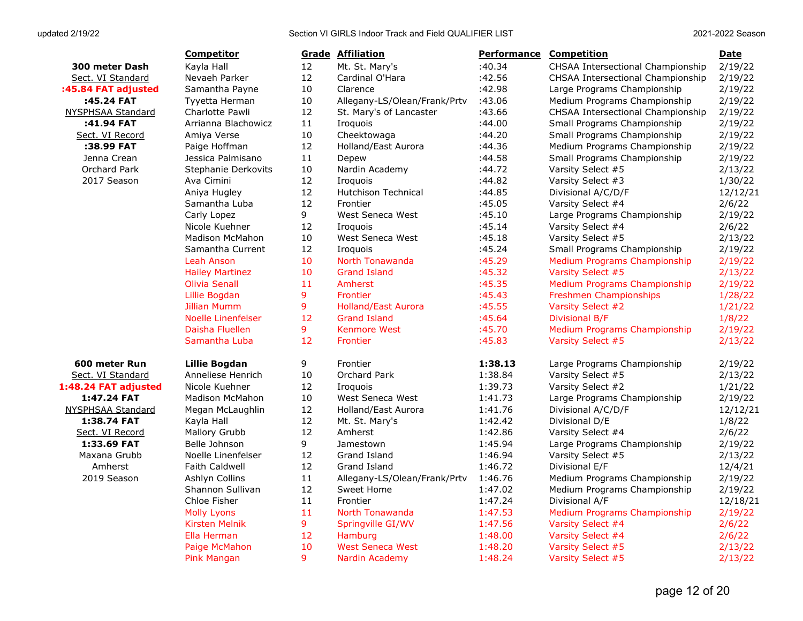|                          | <b>Competitor</b>         |    | <b>Grade Affiliation</b>     | Perforn   |
|--------------------------|---------------------------|----|------------------------------|-----------|
| 300 meter Dash           | Kayla Hall                | 12 | Mt. St. Mary's               | :40.34    |
| Sect. VI Standard        | Nevaeh Parker             | 12 | Cardinal O'Hara              | :42.56    |
| :45.84 FAT adjusted      | Samantha Payne            | 10 | Clarence                     | :42.98    |
| :45.24 FAT               | Tyyetta Herman            | 10 | Allegany-LS/Olean/Frank/Prtv | :43.06    |
| <b>NYSPHSAA Standard</b> | Charlotte Pawli           | 12 | St. Mary's of Lancaster      | :43.66    |
| :41.94 FAT               | Arrianna Blachowicz       | 11 | Iroquois                     | :44.00    |
| Sect. VI Record          | Amiya Verse               | 10 | Cheektowaga                  | :44.20    |
| :38.99 FAT               | Paige Hoffman             | 12 | Holland/East Aurora          | :44.36    |
| Jenna Crean              | Jessica Palmisano         | 11 | Depew                        | :44.58    |
| <b>Orchard Park</b>      | Stephanie Derkovits       | 10 | Nardin Academy               | :44.72    |
| 2017 Season              | Ava Cimini                | 12 | Iroquois                     | :44.82    |
|                          | Aniya Hugley              | 12 | <b>Hutchison Technical</b>   | :44.85    |
|                          | Samantha Luba             | 12 | Frontier                     | :45.05    |
|                          | Carly Lopez               | 9  | West Seneca West             | :45.10    |
|                          | Nicole Kuehner            | 12 | Iroquois                     | :45.14    |
|                          | <b>Madison McMahon</b>    | 10 | West Seneca West             | :45.18    |
|                          | Samantha Current          | 12 | Iroquois                     | :45.24    |
|                          | Leah Anson                | 10 | North Tonawanda              | :45.29    |
|                          | <b>Hailey Martinez</b>    | 10 | <b>Grand Island</b>          | :45.32    |
|                          | <b>Olivia Senall</b>      | 11 | Amherst                      | :45.35    |
|                          | Lillie Bogdan             | 9  | Frontier                     | :45.43    |
|                          | <b>Jillian Mumm</b>       | 9  | <b>Holland/East Aurora</b>   | :45.55    |
|                          | <b>Noelle Linenfelser</b> | 12 | <b>Grand Island</b>          | :45.64    |
|                          | Daisha Fluellen           | 9  | <b>Kenmore West</b>          | :45.70    |
|                          | Samantha Luba             | 12 | Frontier                     | :45.83    |
| 600 meter Run            | <b>Lillie Bogdan</b>      | 9  | Frontier                     | 1:38.13   |
| Sect. VI Standard        | Anneliese Henrich         | 10 | <b>Orchard Park</b>          | 1:38.84   |
| 1:48.24 FAT adjusted     | Nicole Kuehner            | 12 | Iroquois                     | 1:39.73   |
| 1:47.24 FAT              | Madison McMahon           | 10 | West Seneca West             | 1:41.73   |
| NYSPHSAA Standard        | Megan McLaughlin          | 12 | Holland/East Aurora          | 1:41.76   |
| 1:38.74 FAT              | Kayla Hall                | 12 | Mt. St. Mary's               | 1:42.42   |
| Sect. VI Record          | Mallory Grubb             | 12 | Amherst                      | 1:42.86   |
| 1:33.69 FAT              | Belle Johnson             | 9  | Jamestown                    | 1:45.94   |
| Maxana Grubb             | Noelle Linenfelser        | 12 | Grand Island                 | 1:46.94   |
| Amherst                  | Faith Caldwell            | 12 | Grand Island                 | 1:46.72   |
| 2019 Season              | Ashlyn Collins            | 11 | Allegany-LS/Olean/Frank/Prtv | 1:46.76   |
|                          | Shannon Sullivan          | 12 | Sweet Home                   | 1:47.02   |
|                          | Chloe Fisher              | 11 | Frontier                     | 1:47.24   |
|                          | <b>Molly Lyons</b>        | 11 | North Tonawanda              | 1:47.53   |
|                          | Kirsten Melnik            | 9  | Springville GI/WV            | 1:47.56   |
|                          | Ella Herman               | 12 | Hamburg                      | 1:48.00   |
|                          | Paige McMahon             | 10 | <b>West Seneca West</b>      | 1:48.20   |
|                          | Pink Mangan               | q  | Nardin Academy               | $1.48$ 24 |

|                           | <b>Competitor</b>         |    | <b>Grade Affiliation</b>     | <b>Performance</b> | <b>Competition</b>                  | <b>Date</b> |
|---------------------------|---------------------------|----|------------------------------|--------------------|-------------------------------------|-------------|
| 300 meter Dash            | Kayla Hall                | 12 | Mt. St. Mary's               | :40.34             | CHSAA Intersectional Championship   | 2/19/22     |
| Sect. VI Standard         | Nevaeh Parker             | 12 | Cardinal O'Hara              | :42.56             | CHSAA Intersectional Championship   | 2/19/22     |
| 5.84 FAT adjusted         | Samantha Payne            | 10 | Clarence                     | :42.98             | Large Programs Championship         | 2/19/22     |
| :45.24 FAT                | Tyyetta Herman            | 10 | Allegany-LS/Olean/Frank/Prtv | :43.06             | Medium Programs Championship        | 2/19/22     |
| YSPHSAA Standard          | Charlotte Pawli           | 12 | St. Mary's of Lancaster      | :43.66             | CHSAA Intersectional Championship   | 2/19/22     |
| :41.94 FAT                | Arrianna Blachowicz       | 11 | Iroquois                     | :44.00             | Small Programs Championship         | 2/19/22     |
| Sect. VI Record           | Amiya Verse               | 10 | Cheektowaga                  | :44.20             | Small Programs Championship         | 2/19/22     |
| :38.99 FAT                | Paige Hoffman             | 12 | Holland/East Aurora          | :44.36             | Medium Programs Championship        | 2/19/22     |
| Jenna Crean               | Jessica Palmisano         | 11 | Depew                        | :44.58             | Small Programs Championship         | 2/19/22     |
| Orchard Park              | Stephanie Derkovits       | 10 | Nardin Academy               | :44.72             | Varsity Select #5                   | 2/13/22     |
| 2017 Season               | Ava Cimini                | 12 | Iroquois                     | :44.82             | Varsity Select #3                   | 1/30/22     |
|                           | Aniya Hugley              | 12 | <b>Hutchison Technical</b>   | :44.85             | Divisional A/C/D/F                  | 12/12/21    |
|                           | Samantha Luba             | 12 | Frontier                     | :45.05             | Varsity Select #4                   | 2/6/22      |
|                           | Carly Lopez               | 9  | West Seneca West             | :45.10             | Large Programs Championship         | 2/19/22     |
|                           | Nicole Kuehner            | 12 | Iroquois                     | :45.14             | Varsity Select #4                   | 2/6/22      |
|                           | Madison McMahon           | 10 | West Seneca West             | :45.18             | Varsity Select #5                   | 2/13/22     |
|                           | Samantha Current          | 12 | Iroguois                     | :45.24             | Small Programs Championship         | 2/19/22     |
|                           | Leah Anson                | 10 | North Tonawanda              | :45.29             | <b>Medium Programs Championship</b> | 2/19/22     |
|                           | <b>Hailey Martinez</b>    | 10 | <b>Grand Island</b>          | :45.32             | Varsity Select #5                   | 2/13/22     |
|                           | <b>Olivia Senall</b>      | 11 | Amherst                      | :45.35             | <b>Medium Programs Championship</b> | 2/19/22     |
|                           | Lillie Bogdan             | 9  | <b>Frontier</b>              | :45.43             | <b>Freshmen Championships</b>       | 1/28/22     |
|                           | <b>Jillian Mumm</b>       | 9  | <b>Holland/East Aurora</b>   | :45.55             | Varsity Select #2                   | 1/21/22     |
|                           | <b>Noelle Linenfelser</b> | 12 | <b>Grand Island</b>          | :45.64             | <b>Divisional B/F</b>               | 1/8/22      |
|                           | Daisha Fluellen           | 9  | <b>Kenmore West</b>          | :45.70             | <b>Medium Programs Championship</b> | 2/19/22     |
|                           | Samantha Luba             | 12 | <b>Frontier</b>              | :45.83             | Varsity Select #5                   | 2/13/22     |
| 600 meter Run             | <b>Lillie Bogdan</b>      | 9  | Frontier                     | 1:38.13            | Large Programs Championship         | 2/19/22     |
| Sect. VI Standard         | Anneliese Henrich         | 10 | Orchard Park                 | 1:38.84            | Varsity Select #5                   | 2/13/22     |
| <b>18.24 FAT adjusted</b> | Nicole Kuehner            | 12 | Iroquois                     | 1:39.73            | Varsity Select #2                   | 1/21/22     |
| 1:47.24 FAT               | <b>Madison McMahon</b>    | 10 | West Seneca West             | 1:41.73            | Large Programs Championship         | 2/19/22     |
| YSPHSAA Standard          | Megan McLaughlin          | 12 | Holland/East Aurora          | 1:41.76            | Divisional A/C/D/F                  | 12/12/21    |
| 1:38.74 FAT               | Kayla Hall                | 12 | Mt. St. Mary's               | 1:42.42            | Divisional D/E                      | 1/8/22      |
| Sect. VI Record           | Mallory Grubb             | 12 | Amherst                      | 1:42.86            | Varsity Select #4                   | 2/6/22      |
| 1:33.69 FAT               | Belle Johnson             | 9  | Jamestown                    | 1:45.94            | Large Programs Championship         | 2/19/22     |
| Maxana Grubb              | Noelle Linenfelser        | 12 | Grand Island                 | 1:46.94            | Varsity Select #5                   | 2/13/22     |
| Amherst                   | <b>Faith Caldwell</b>     | 12 | Grand Island                 | 1:46.72            | Divisional E/F                      | 12/4/21     |
| 2019 Season               | Ashlyn Collins            | 11 | Allegany-LS/Olean/Frank/Prtv | 1:46.76            | Medium Programs Championship        | 2/19/22     |
|                           | Shannon Sullivan          | 12 | Sweet Home                   | 1:47.02            | Medium Programs Championship        | 2/19/22     |
|                           | Chloe Fisher              | 11 | Frontier                     | 1:47.24            | Divisional A/F                      | 12/18/21    |
|                           | <b>Molly Lyons</b>        | 11 | North Tonawanda              | 1:47.53            | Medium Programs Championship        | 2/19/22     |
|                           | <b>Kirsten Melnik</b>     | 9  | Springville GI/WV            | 1:47.56            | Varsity Select #4                   | 2/6/22      |
|                           | Ella Herman               | 12 | Hamburg                      | 1:48.00            | Varsity Select #4                   | 2/6/22      |
|                           | Paige McMahon             | 10 | <b>West Seneca West</b>      | 1:48.20            | Varsity Select #5                   | 2/13/22     |
|                           | Pink Mangan               | 9  | Nardin Academy               | 1:48.24            | Varsity Select #5                   | 2/13/22     |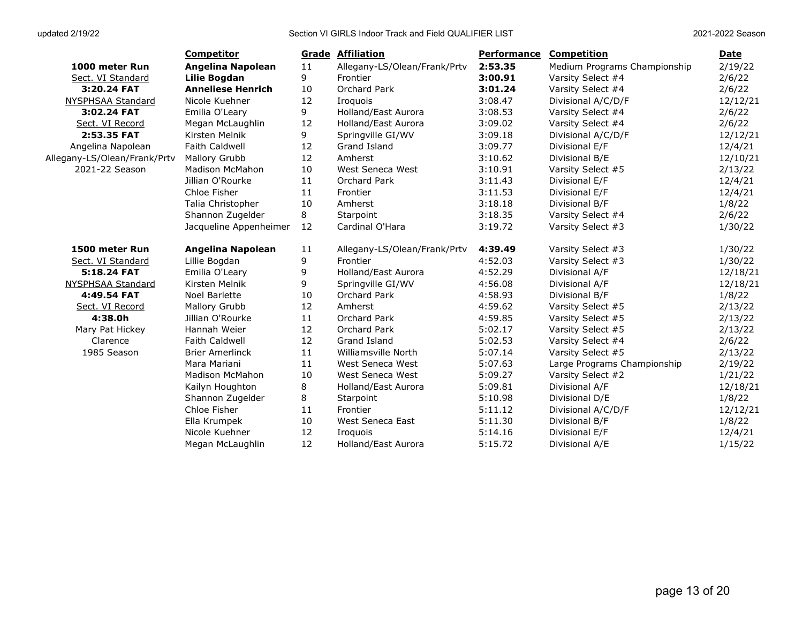|                              | <b>Competitor</b>        |    | <b>Grade Affiliation</b>     | <b>Performance</b> | <b>Competition</b>           | <b>Date</b> |
|------------------------------|--------------------------|----|------------------------------|--------------------|------------------------------|-------------|
| 1000 meter Run               | <b>Angelina Napolean</b> | 11 | Allegany-LS/Olean/Frank/Prtv | 2:53.35            | Medium Programs Championship | 2/19/22     |
| Sect. VI Standard            | <b>Lilie Bogdan</b>      | 9  | Frontier                     | 3:00.91            | Varsity Select #4            | 2/6/22      |
| 3:20.24 FAT                  | <b>Anneliese Henrich</b> | 10 | Orchard Park                 | 3:01.24            | Varsity Select #4            | 2/6/22      |
| <b>NYSPHSAA Standard</b>     | Nicole Kuehner           | 12 | Iroquois                     | 3:08.47            | Divisional A/C/D/F           | 12/12/21    |
| 3:02.24 FAT                  | Emilia O'Leary           | 9  | Holland/East Aurora          | 3:08.53            | Varsity Select #4            | 2/6/22      |
| Sect. VI Record              | Megan McLaughlin         | 12 | Holland/East Aurora          | 3:09.02            | Varsity Select #4            | 2/6/22      |
| 2:53.35 FAT                  | Kirsten Melnik           | 9  | Springville GI/WV            | 3:09.18            | Divisional A/C/D/F           | 12/12/21    |
| Angelina Napolean            | Faith Caldwell           | 12 | Grand Island                 | 3:09.77            | Divisional E/F               | 12/4/21     |
| Allegany-LS/Olean/Frank/Prtv | Mallory Grubb            | 12 | Amherst                      | 3:10.62            | Divisional B/E               | 12/10/21    |
| 2021-22 Season               | Madison McMahon          | 10 | West Seneca West             | 3:10.91            | Varsity Select #5            | 2/13/22     |
|                              | Jillian O'Rourke         | 11 | Orchard Park                 | 3:11.43            | Divisional E/F               | 12/4/21     |
|                              | Chloe Fisher             | 11 | Frontier                     | 3:11.53            | Divisional E/F               | 12/4/21     |
|                              | Talia Christopher        | 10 | Amherst                      | 3:18.18            | Divisional B/F               | 1/8/22      |
|                              | Shannon Zugelder         | 8  | Starpoint                    | 3:18.35            | Varsity Select #4            | 2/6/22      |
|                              | Jacqueline Appenheimer   | 12 | Cardinal O'Hara              | 3:19.72            | Varsity Select #3            | 1/30/22     |
| 1500 meter Run               | <b>Angelina Napolean</b> | 11 | Allegany-LS/Olean/Frank/Prtv | 4:39.49            | Varsity Select #3            | 1/30/22     |
| Sect. VI Standard            | Lillie Bogdan            | 9  | Frontier                     | 4:52.03            | Varsity Select #3            | 1/30/22     |
| 5:18.24 FAT                  | Emilia O'Leary           | 9  | Holland/East Aurora          | 4:52.29            | Divisional A/F               | 12/18/21    |
| <b>NYSPHSAA Standard</b>     | Kirsten Melnik           | 9  | Springville GI/WV            | 4:56.08            | Divisional A/F               | 12/18/21    |
| 4:49.54 FAT                  | Noel Barlette            | 10 | Orchard Park                 | 4:58.93            | Divisional B/F               | 1/8/22      |
| Sect. VI Record              | Mallory Grubb            | 12 | Amherst                      | 4:59.62            | Varsity Select #5            | 2/13/22     |
| 4:38.0h                      | Jillian O'Rourke         | 11 | Orchard Park                 | 4:59.85            | Varsity Select #5            | 2/13/22     |
| Mary Pat Hickey              | Hannah Weier             | 12 | Orchard Park                 | 5:02.17            | Varsity Select #5            | 2/13/22     |
| Clarence                     | <b>Faith Caldwell</b>    | 12 | Grand Island                 | 5:02.53            | Varsity Select #4            | 2/6/22      |
| 1985 Season                  | <b>Brier Amerlinck</b>   | 11 | Williamsville North          | 5:07.14            | Varsity Select #5            | 2/13/22     |
|                              | Mara Mariani             | 11 | West Seneca West             | 5:07.63            | Large Programs Championship  | 2/19/22     |
|                              | <b>Madison McMahon</b>   | 10 | West Seneca West             | 5:09.27            | Varsity Select #2            | 1/21/22     |
|                              | Kailyn Houghton          | 8  | Holland/East Aurora          | 5:09.81            | Divisional A/F               | 12/18/21    |
|                              | Shannon Zugelder         | 8  | Starpoint                    | 5:10.98            | Divisional D/E               | 1/8/22      |
|                              | Chloe Fisher             | 11 | Frontier                     | 5:11.12            | Divisional A/C/D/F           | 12/12/21    |
|                              | Ella Krumpek             | 10 | West Seneca East             | 5:11.30            | Divisional B/F               | 1/8/22      |
|                              | Nicole Kuehner           | 12 | Iroquois                     | 5:14.16            | Divisional E/F               | 12/4/21     |
|                              | Megan McLaughlin         | 12 | Holland/East Aurora          | 5:15.72            | Divisional A/E               | 1/15/22     |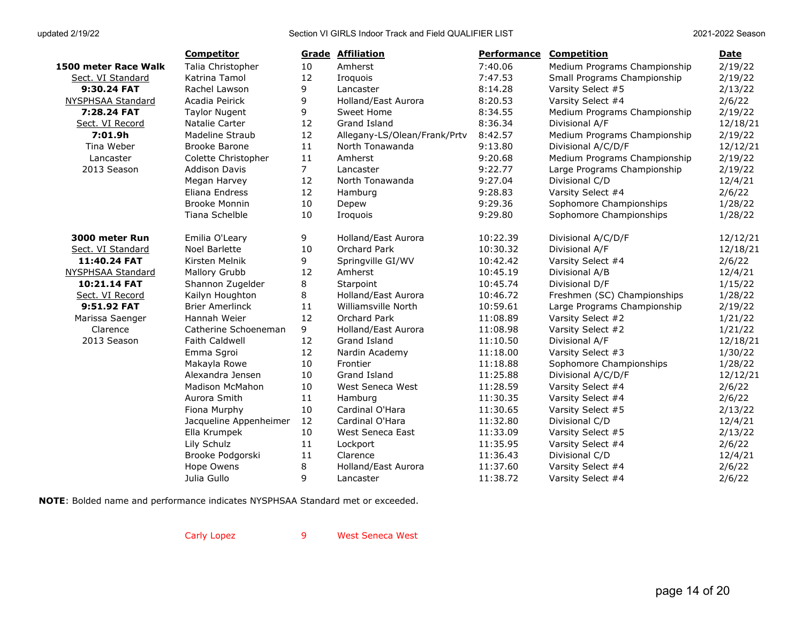|                          | <b>Competitor</b>      |                | <b>Grade Affiliation</b>     | <b>Performance</b> | <b>Competition</b>           | <b>Date</b> |
|--------------------------|------------------------|----------------|------------------------------|--------------------|------------------------------|-------------|
| 1500 meter Race Walk     | Talia Christopher      | 10             | Amherst                      | 7:40.06            | Medium Programs Championship | 2/19/22     |
| Sect. VI Standard        | Katrina Tamol          | 12             | Iroquois                     | 7:47.53            | Small Programs Championship  | 2/19/22     |
| 9:30.24 FAT              | Rachel Lawson          | 9              | Lancaster                    | 8:14.28            | Varsity Select #5            | 2/13/22     |
| <b>NYSPHSAA Standard</b> | Acadia Peirick         | 9              | Holland/East Aurora          | 8:20.53            | Varsity Select #4            | 2/6/22      |
| 7:28.24 FAT              | <b>Taylor Nugent</b>   | 9              | Sweet Home                   | 8:34.55            | Medium Programs Championship | 2/19/22     |
| Sect. VI Record          | Natalie Carter         | 12             | Grand Island                 | 8:36.34            | Divisional A/F               | 12/18/21    |
| 7:01.9h                  | Madeline Straub        | 12             | Allegany-LS/Olean/Frank/Prtv | 8:42.57            | Medium Programs Championship | 2/19/22     |
| Tina Weber               | <b>Brooke Barone</b>   | 11             | North Tonawanda              | 9:13.80            | Divisional A/C/D/F           | 12/12/21    |
| Lancaster                | Colette Christopher    | 11             | Amherst                      | 9:20.68            | Medium Programs Championship | 2/19/22     |
| 2013 Season              | <b>Addison Davis</b>   | 7 <sup>7</sup> | Lancaster                    | 9:22.77            | Large Programs Championship  | 2/19/22     |
|                          | Megan Harvey           | 12             | North Tonawanda              | 9:27.04            | Divisional C/D               | 12/4/21     |
|                          | Eliana Endress         | 12             | Hamburg                      | 9:28.83            | Varsity Select #4            | 2/6/22      |
|                          | <b>Brooke Monnin</b>   | 10             | Depew                        | 9:29.36            | Sophomore Championships      | 1/28/22     |
|                          | Tiana Schelble         | 10             | Iroquois                     | 9:29.80            | Sophomore Championships      | 1/28/22     |
| 3000 meter Run           | Emilia O'Leary         | 9              | Holland/East Aurora          | 10:22.39           | Divisional A/C/D/F           | 12/12/21    |
| Sect. VI Standard        | Noel Barlette          | 10             | Orchard Park                 | 10:30.32           | Divisional A/F               | 12/18/21    |
| 11:40.24 FAT             | Kirsten Melnik         | 9              | Springville GI/WV            | 10:42.42           | Varsity Select #4            | 2/6/22      |
| <b>NYSPHSAA Standard</b> | Mallory Grubb          | 12             | Amherst                      | 10:45.19           | Divisional A/B               | 12/4/21     |
| 10:21.14 FAT             | Shannon Zugelder       | 8              | Starpoint                    | 10:45.74           | Divisional D/F               | 1/15/22     |
| Sect. VI Record          | Kailyn Houghton        | 8              | Holland/East Aurora          | 10:46.72           | Freshmen (SC) Championships  | 1/28/22     |
| 9:51.92 FAT              | <b>Brier Amerlinck</b> | 11             | Williamsville North          | 10:59.61           | Large Programs Championship  | 2/19/22     |
| Marissa Saenger          | Hannah Weier           | 12             | Orchard Park                 | 11:08.89           | Varsity Select #2            | 1/21/22     |
| Clarence                 | Catherine Schoeneman   | 9              | Holland/East Aurora          | 11:08.98           | Varsity Select #2            | 1/21/22     |
| 2013 Season              | Faith Caldwell         | 12             | Grand Island                 | 11:10.50           | Divisional A/F               | 12/18/21    |
|                          | Emma Sgroi             | 12             | Nardin Academy               | 11:18.00           | Varsity Select #3            | 1/30/22     |
|                          | Makayla Rowe           | 10             | Frontier                     | 11:18.88           | Sophomore Championships      | 1/28/22     |
|                          | Alexandra Jensen       | 10             | Grand Island                 | 11:25.88           | Divisional A/C/D/F           | 12/12/21    |
|                          | <b>Madison McMahon</b> | 10             | West Seneca West             | 11:28.59           | Varsity Select #4            | 2/6/22      |
|                          | Aurora Smith           | 11             | Hamburg                      | 11:30.35           | Varsity Select #4            | 2/6/22      |
|                          | Fiona Murphy           | 10             | Cardinal O'Hara              | 11:30.65           | Varsity Select #5            | 2/13/22     |
|                          | Jacqueline Appenheimer | 12             | Cardinal O'Hara              | 11:32.80           | Divisional C/D               | 12/4/21     |
|                          | Ella Krumpek           | 10             | West Seneca East             | 11:33.09           | Varsity Select #5            | 2/13/22     |
|                          | Lily Schulz            | 11             | Lockport                     | 11:35.95           | Varsity Select #4            | 2/6/22      |
|                          | Brooke Podgorski       | 11             | Clarence                     | 11:36.43           | Divisional C/D               | 12/4/21     |
|                          | Hope Owens             | 8              | Holland/East Aurora          | 11:37.60           | Varsity Select #4            | 2/6/22      |
|                          | Julia Gullo            | 9              | Lancaster                    | 11:38.72           | Varsity Select #4            | 2/6/22      |

**NOTE**: Bolded name and performance indicates NYSPHSAA Standard met or exceeded.

Carly Lopez 9 West Seneca West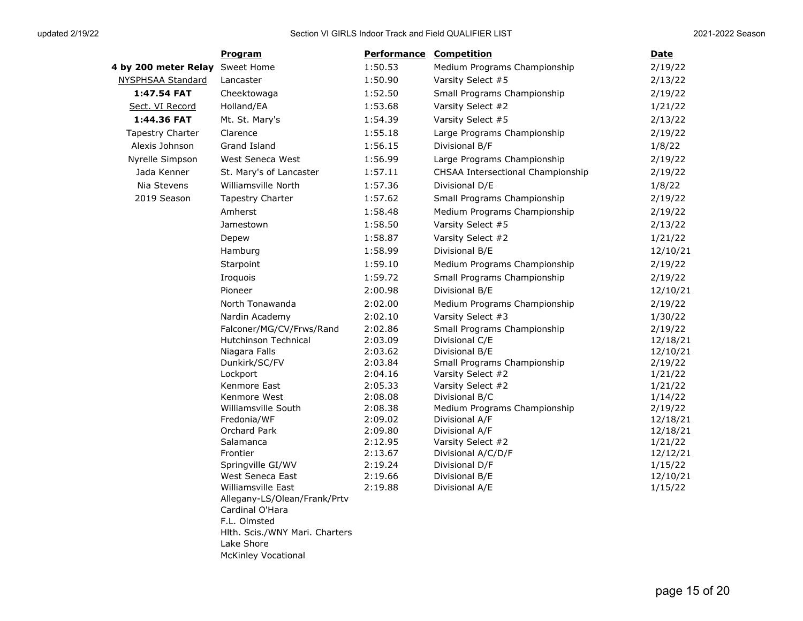|                                 | Program                                            | <b>Performance Competition</b> |                                     | <b>Date</b>        |
|---------------------------------|----------------------------------------------------|--------------------------------|-------------------------------------|--------------------|
| 4 by 200 meter Relay Sweet Home |                                                    | 1:50.53                        | Medium Programs Championship        | 2/19/22            |
| <b>NYSPHSAA Standard</b>        | Lancaster                                          | 1:50.90                        | Varsity Select #5                   | 2/13/22            |
| 1:47.54 FAT                     | Cheektowaga                                        | 1:52.50                        | Small Programs Championship         | 2/19/22            |
| Sect. VI Record                 | Holland/EA                                         | 1:53.68                        | Varsity Select #2                   | 1/21/22            |
| 1:44.36 FAT                     | Mt. St. Mary's                                     | 1:54.39                        | Varsity Select #5                   | 2/13/22            |
| Tapestry Charter                | Clarence                                           | 1:55.18                        | Large Programs Championship         | 2/19/22            |
| Alexis Johnson                  | Grand Island                                       | 1:56.15                        | Divisional B/F                      | 1/8/22             |
| Nyrelle Simpson                 | West Seneca West                                   | 1:56.99                        | Large Programs Championship         | 2/19/22            |
| Jada Kenner                     | St. Mary's of Lancaster                            | 1:57.11                        | CHSAA Intersectional Championship   | 2/19/22            |
| Nia Stevens                     | Williamsville North                                | 1:57.36                        | Divisional D/E                      | 1/8/22             |
| 2019 Season                     | Tapestry Charter                                   | 1:57.62                        | Small Programs Championship         | 2/19/22            |
|                                 | Amherst                                            | 1:58.48                        | Medium Programs Championship        | 2/19/22            |
|                                 | Jamestown                                          | 1:58.50                        | Varsity Select #5                   | 2/13/22            |
|                                 | Depew                                              | 1:58.87                        | Varsity Select #2                   | 1/21/22            |
|                                 | Hamburg                                            | 1:58.99                        | Divisional B/E                      | 12/10/21           |
|                                 | Starpoint                                          | 1:59.10                        | Medium Programs Championship        | 2/19/22            |
|                                 | Iroquois                                           | 1:59.72                        | Small Programs Championship         | 2/19/22            |
|                                 | Pioneer                                            | 2:00.98                        | Divisional B/E                      | 12/10/21           |
|                                 | North Tonawanda                                    | 2:02.00                        | Medium Programs Championship        | 2/19/22            |
|                                 | Nardin Academy                                     | 2:02.10                        | Varsity Select #3                   | 1/30/22            |
|                                 | Falconer/MG/CV/Frws/Rand                           | 2:02.86                        | Small Programs Championship         | 2/19/22            |
|                                 | Hutchinson Technical                               | 2:03.09                        | Divisional C/E                      | 12/18/21           |
|                                 | Niagara Falls                                      | 2:03.62                        | Divisional B/E                      | 12/10/21           |
|                                 | Dunkirk/SC/FV                                      | 2:03.84                        | Small Programs Championship         | 2/19/22            |
|                                 | Lockport                                           | 2:04.16                        | Varsity Select #2                   | 1/21/22            |
|                                 | Kenmore East<br>Kenmore West                       | 2:05.33<br>2:08.08             | Varsity Select #2<br>Divisional B/C | 1/21/22<br>1/14/22 |
|                                 | Williamsville South                                | 2:08.38                        | Medium Programs Championship        | 2/19/22            |
|                                 | Fredonia/WF                                        | 2:09.02                        | Divisional A/F                      | 12/18/21           |
|                                 | Orchard Park                                       | 2:09.80                        | Divisional A/F                      | 12/18/21           |
|                                 | Salamanca                                          | 2:12.95                        | Varsity Select #2                   | 1/21/22            |
|                                 | Frontier                                           | 2:13.67                        | Divisional A/C/D/F                  | 12/12/21           |
|                                 | Springville GI/WV                                  | 2:19.24                        | Divisional D/F                      | 1/15/22            |
|                                 | West Seneca East                                   | 2:19.66                        | Divisional B/E                      | 12/10/21           |
|                                 | Williamsville East<br>Allegany-LS/Olean/Frank/Prtv | 2:19.88                        | Divisional A/E                      | 1/15/22            |
|                                 | Cardinal O'Hara                                    |                                |                                     |                    |
|                                 | F.L. Olmsted                                       |                                |                                     |                    |
|                                 | Hlth. Scis./WNY Mari. Charters                     |                                |                                     |                    |
|                                 | Lake Shore                                         |                                |                                     |                    |
|                                 | <b>McKinley Vocational</b>                         |                                |                                     |                    |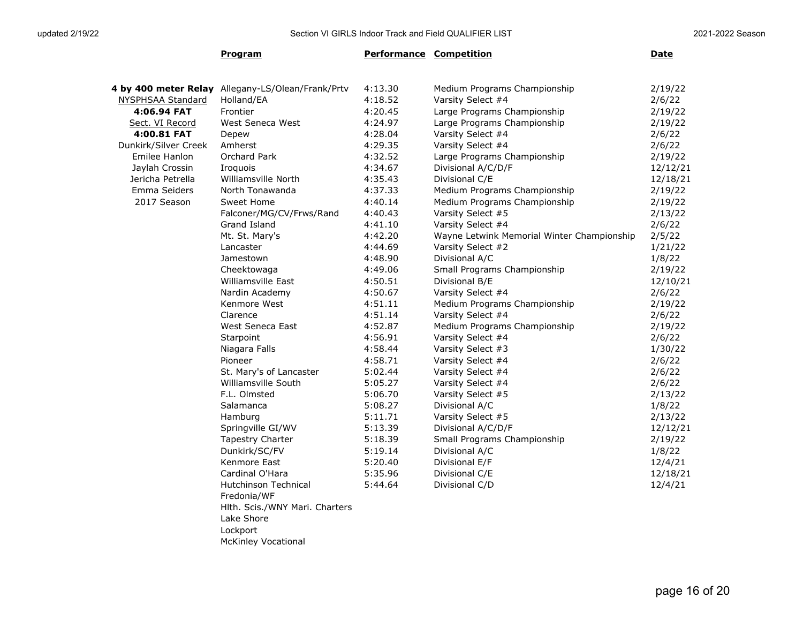## **Program Performance Competition Program Date**

|                          | 4 by 400 meter Relay Allegany-LS/Olean/Frank/Prtv | 4:13.30 | Medium Programs Championship               | 2/19/22  |
|--------------------------|---------------------------------------------------|---------|--------------------------------------------|----------|
| <b>NYSPHSAA Standard</b> | Holland/EA                                        | 4:18.52 | Varsity Select #4                          | 2/6/22   |
| 4:06.94 FAT              | Frontier                                          | 4:20.45 | Large Programs Championship                | 2/19/22  |
| Sect. VI Record          | West Seneca West                                  | 4:24.97 | Large Programs Championship                | 2/19/22  |
| 4:00.81 FAT              | Depew                                             | 4:28.04 | Varsity Select #4                          | 2/6/22   |
| Dunkirk/Silver Creek     | Amherst                                           | 4:29.35 | Varsity Select #4                          | 2/6/22   |
| Emilee Hanlon            | Orchard Park                                      | 4:32.52 | Large Programs Championship                | 2/19/22  |
| Jaylah Crossin           | Iroquois                                          | 4:34.67 | Divisional A/C/D/F                         | 12/12/21 |
| Jericha Petrella         | Williamsville North                               | 4:35.43 | Divisional C/E                             | 12/18/21 |
| Emma Seiders             | North Tonawanda                                   | 4:37.33 | Medium Programs Championship               | 2/19/22  |
| 2017 Season              | Sweet Home                                        | 4:40.14 | Medium Programs Championship               | 2/19/22  |
|                          | Falconer/MG/CV/Frws/Rand                          | 4:40.43 | Varsity Select #5                          | 2/13/22  |
|                          | Grand Island                                      | 4:41.10 | Varsity Select #4                          | 2/6/22   |
|                          | Mt. St. Mary's                                    | 4:42.20 | Wayne Letwink Memorial Winter Championship | 2/5/22   |
|                          | Lancaster                                         | 4:44.69 | Varsity Select #2                          | 1/21/22  |
|                          | Jamestown                                         | 4:48.90 | Divisional A/C                             | 1/8/22   |
|                          | Cheektowaga                                       | 4:49.06 | Small Programs Championship                | 2/19/22  |
|                          | Williamsville East                                | 4:50.51 | Divisional B/E                             | 12/10/21 |
|                          | Nardin Academy                                    | 4:50.67 | Varsity Select #4                          | 2/6/22   |
|                          | Kenmore West                                      | 4:51.11 | Medium Programs Championship               | 2/19/22  |
|                          | Clarence                                          | 4:51.14 | Varsity Select #4                          | 2/6/22   |
|                          | West Seneca East                                  | 4:52.87 | Medium Programs Championship               | 2/19/22  |
|                          | Starpoint                                         | 4:56.91 | Varsity Select #4                          | 2/6/22   |
|                          | Niagara Falls                                     | 4:58.44 | Varsity Select #3                          | 1/30/22  |
|                          | Pioneer                                           | 4:58.71 | Varsity Select #4                          | 2/6/22   |
|                          | St. Mary's of Lancaster                           | 5:02.44 | Varsity Select #4                          | 2/6/22   |
|                          | Williamsville South                               | 5:05.27 | Varsity Select #4                          | 2/6/22   |
|                          | F.L. Olmsted                                      | 5:06.70 | Varsity Select #5                          | 2/13/22  |
|                          | Salamanca                                         | 5:08.27 | Divisional A/C                             | 1/8/22   |
|                          | Hamburg                                           | 5:11.71 | Varsity Select #5                          | 2/13/22  |
|                          | Springville GI/WV                                 | 5:13.39 | Divisional A/C/D/F                         | 12/12/21 |
|                          | Tapestry Charter                                  | 5:18.39 | Small Programs Championship                | 2/19/22  |
|                          | Dunkirk/SC/FV                                     | 5:19.14 | Divisional A/C                             | 1/8/22   |
|                          | Kenmore East                                      | 5:20.40 | Divisional E/F                             | 12/4/21  |
|                          | Cardinal O'Hara                                   | 5:35.96 | Divisional C/E                             | 12/18/21 |
|                          | Hutchinson Technical                              | 5:44.64 | Divisional C/D                             | 12/4/21  |
|                          | Fredonia/WF                                       |         |                                            |          |
|                          | Hlth. Scis./WNY Mari. Charters                    |         |                                            |          |
|                          | Lake Shore                                        |         |                                            |          |
|                          | Lockport                                          |         |                                            |          |
|                          | <b>McKinley Vocational</b>                        |         |                                            |          |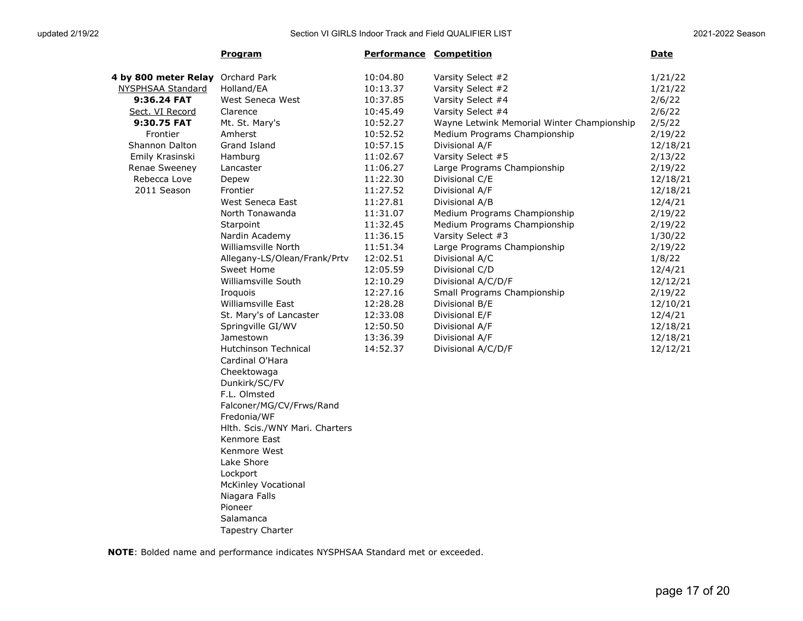|                                   | Program                        | <b>Performance Competition</b> |                                            | <b>Date</b> |
|-----------------------------------|--------------------------------|--------------------------------|--------------------------------------------|-------------|
| 4 by 800 meter Relay Orchard Park |                                | 10:04.80                       | Varsity Select #2                          | 1/21/22     |
| <b>NYSPHSAA Standard</b>          | Holland/EA                     | 10:13.37                       | Varsity Select #2                          | 1/21/22     |
| 9:36.24 FAT                       | West Seneca West               | 10:37.85                       | Varsity Select #4                          | 2/6/22      |
| Sect. VI Record                   | Clarence                       | 10:45.49                       | Varsity Select #4                          | 2/6/22      |
| 9:30.75 FAT                       | Mt. St. Mary's                 | 10:52.27                       | Wayne Letwink Memorial Winter Championship | 2/5/22      |
| Frontier                          | Amherst                        | 10:52.52                       | Medium Programs Championship               | 2/19/22     |
| <b>Shannon Dalton</b>             | Grand Island                   | 10:57.15                       | Divisional A/F                             | 12/18/21    |
| Emily Krasinski                   | Hamburg                        | 11:02.67                       | Varsity Select #5                          | 2/13/22     |
| Renae Sweeney                     | Lancaster                      | 11:06.27                       | Large Programs Championship                | 2/19/22     |
| Rebecca Love                      | Depew                          | 11:22.30                       | Divisional C/E                             | 12/18/21    |
| 2011 Season                       | Frontier                       | 11:27.52                       | Divisional A/F                             | 12/18/21    |
|                                   | West Seneca East               | 11:27.81                       | Divisional A/B                             | 12/4/21     |
|                                   | North Tonawanda                | 11:31.07                       | Medium Programs Championship               | 2/19/22     |
|                                   | Starpoint                      | 11:32.45                       | Medium Programs Championship               | 2/19/22     |
|                                   | Nardin Academy                 | 11:36.15                       | Varsity Select #3                          | 1/30/22     |
|                                   | Williamsville North            | 11:51.34                       | Large Programs Championship                | 2/19/22     |
|                                   | Allegany-LS/Olean/Frank/Prtv   | 12:02.51                       | Divisional A/C                             | 1/8/22      |
|                                   | Sweet Home                     | 12:05.59                       | Divisional C/D                             | 12/4/21     |
|                                   | Williamsville South            | 12:10.29                       | Divisional A/C/D/F                         | 12/12/21    |
|                                   | Iroquois                       | 12:27.16                       | Small Programs Championship                | 2/19/22     |
|                                   | Williamsville East             | 12:28.28                       | Divisional B/E                             | 12/10/21    |
|                                   | St. Mary's of Lancaster        | 12:33.08                       | Divisional E/F                             | 12/4/21     |
|                                   | Springville GI/WV              | 12:50.50                       | Divisional A/F                             | 12/18/21    |
|                                   | Jamestown                      | 13:36.39                       | Divisional A/F                             | 12/18/21    |
|                                   | <b>Hutchinson Technical</b>    | 14:52.37                       | Divisional A/C/D/F                         | 12/12/21    |
|                                   | Cardinal O'Hara                |                                |                                            |             |
|                                   | Cheektowaga                    |                                |                                            |             |
|                                   | Dunkirk/SC/FV                  |                                |                                            |             |
|                                   | F.L. Olmsted                   |                                |                                            |             |
|                                   | Falconer/MG/CV/Frws/Rand       |                                |                                            |             |
|                                   | Fredonia/WF                    |                                |                                            |             |
|                                   | Hlth. Scis./WNY Mari. Charters |                                |                                            |             |
|                                   | Kenmore East                   |                                |                                            |             |
|                                   | Kenmore West                   |                                |                                            |             |
|                                   | Lake Shore                     |                                |                                            |             |
|                                   | Lockport                       |                                |                                            |             |
|                                   | <b>McKinley Vocational</b>     |                                |                                            |             |
|                                   | Niagara Falls                  |                                |                                            |             |
|                                   | Pioneer                        |                                |                                            |             |
|                                   | Salamanca                      |                                |                                            |             |
|                                   | Tapestry Charter               |                                |                                            |             |

**NOTE**: Bolded name and performance indicates NYSPHSAA Standard met or exceeded.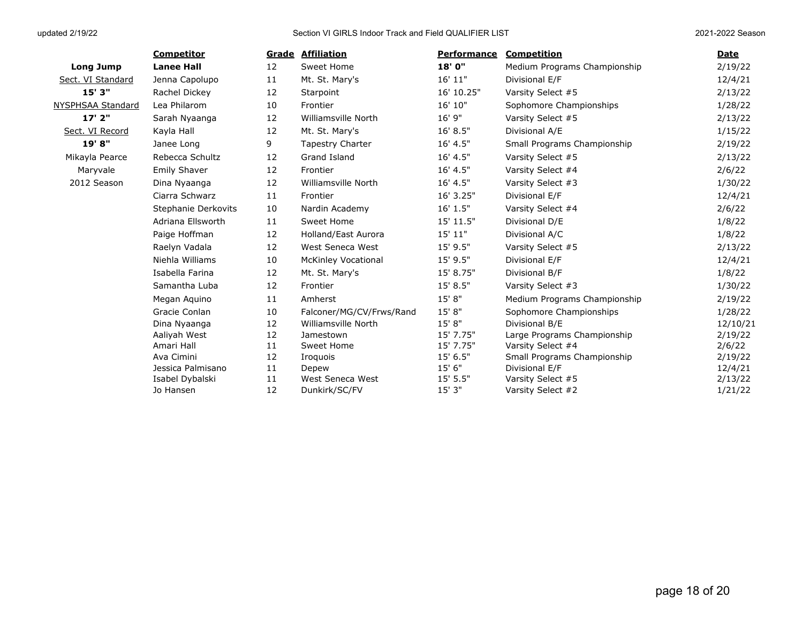|                   | <b>Competitor</b>   |    | <b>Grade Affiliation</b>   | <b>Performance</b> | <b>Competition</b>           | <b>Date</b> |
|-------------------|---------------------|----|----------------------------|--------------------|------------------------------|-------------|
| Long Jump         | <b>Lanee Hall</b>   | 12 | Sweet Home                 | 18' 0"             | Medium Programs Championship | 2/19/22     |
| Sect. VI Standard | Jenna Capolupo      | 11 | Mt. St. Mary's             | 16' 11"            | Divisional E/F               | 12/4/21     |
| 15' 3"            | Rachel Dickey       | 12 | Starpoint                  | 16' 10.25"         | Varsity Select #5            | 2/13/22     |
| NYSPHSAA Standard | Lea Philarom        | 10 | Frontier                   | 16' 10"            | Sophomore Championships      | 1/28/22     |
| $17'$ 2"          | Sarah Nyaanga       | 12 | Williamsville North        | 16' 9"             | Varsity Select #5            | 2/13/22     |
| Sect. VI Record   | Kayla Hall          | 12 | Mt. St. Mary's             | 16' 8.5"           | Divisional A/E               | 1/15/22     |
| 19'8"             | Janee Long          | 9  | Tapestry Charter           | 16' 4.5"           | Small Programs Championship  | 2/19/22     |
| Mikayla Pearce    | Rebecca Schultz     | 12 | Grand Island               | 16' 4.5"           | Varsity Select #5            | 2/13/22     |
| Maryvale          | <b>Emily Shaver</b> | 12 | Frontier                   | 16' 4.5"           | Varsity Select #4            | 2/6/22      |
| 2012 Season       | Dina Nyaanga        | 12 | Williamsville North        | 16' 4.5"           | Varsity Select #3            | 1/30/22     |
|                   | Ciarra Schwarz      | 11 | Frontier                   | 16' 3.25"          | Divisional E/F               | 12/4/21     |
|                   | Stephanie Derkovits | 10 | Nardin Academy             | 16' 1.5"           | Varsity Select #4            | 2/6/22      |
|                   | Adriana Ellsworth   | 11 | Sweet Home                 | 15' 11.5"          | Divisional D/E               | 1/8/22      |
|                   | Paige Hoffman       | 12 | Holland/East Aurora        | 15' 11"            | Divisional A/C               | 1/8/22      |
|                   | Raelyn Vadala       | 12 | West Seneca West           | 15' 9.5"           | Varsity Select #5            | 2/13/22     |
|                   | Niehla Williams     | 10 | <b>McKinley Vocational</b> | 15' 9.5"           | Divisional E/F               | 12/4/21     |
|                   | Isabella Farina     | 12 | Mt. St. Mary's             | 15' 8.75"          | Divisional B/F               | 1/8/22      |
|                   | Samantha Luba       | 12 | Frontier                   | 15' 8.5"           | Varsity Select #3            | 1/30/22     |
|                   | Megan Aguino        | 11 | Amherst                    | 15' 8"             | Medium Programs Championship | 2/19/22     |
|                   | Gracie Conlan       | 10 | Falconer/MG/CV/Frws/Rand   | 15' 8"             | Sophomore Championships      | 1/28/22     |
|                   | Dina Nyaanga        | 12 | Williamsville North        | 15' 8"             | Divisional B/E               | 12/10/21    |
|                   | Aaliyah West        | 12 | Jamestown                  | 15' 7.75"          | Large Programs Championship  | 2/19/22     |
|                   | Amari Hall          | 11 | Sweet Home                 | 15' 7.75"          | Varsity Select #4            | 2/6/22      |
|                   | Ava Cimini          | 12 | Iroquois                   | 15' 6.5"           | Small Programs Championship  | 2/19/22     |
|                   | Jessica Palmisano   | 11 | Depew                      | 15' 6"             | Divisional E/F               | 12/4/21     |
|                   | Isabel Dybalski     | 11 | West Seneca West           | 15' 5.5"           | Varsity Select #5            | 2/13/22     |
|                   | Jo Hansen           | 12 | Dunkirk/SC/FV              | 15' 3"             | Varsity Select #2            | 1/21/22     |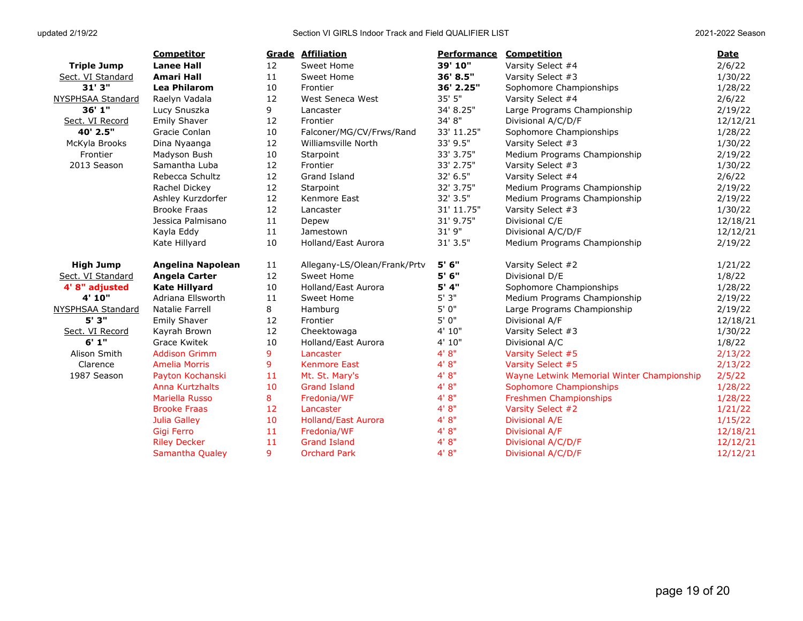|                          | <b>Competitor</b>      |    | <b>Grade Affiliation</b>     | <b>Performance</b> | <b>Competition</b>                         | Date     |
|--------------------------|------------------------|----|------------------------------|--------------------|--------------------------------------------|----------|
| <b>Triple Jump</b>       | <b>Lanee Hall</b>      | 12 | Sweet Home                   | 39' 10"            | Varsity Select #4                          | 2/6/22   |
| Sect. VI Standard        | Amari Hall             | 11 | Sweet Home                   | 36' 8.5"           | Varsity Select #3                          | 1/30/22  |
| 31'3''                   | <b>Lea Philarom</b>    | 10 | Frontier                     | 36' 2.25"          | Sophomore Championships                    | 1/28/22  |
| <b>NYSPHSAA Standard</b> | Raelyn Vadala          | 12 | West Seneca West             | 35' 5"             | Varsity Select #4                          | 2/6/22   |
| 36' 1"                   | Lucy Snuszka           | 9  | Lancaster                    | 34' 8.25"          | Large Programs Championship                | 2/19/22  |
| Sect. VI Record          | <b>Emily Shaver</b>    | 12 | Frontier                     | 34' 8"             | Divisional A/C/D/F                         | 12/12/21 |
| 40' 2.5"                 | Gracie Conlan          | 10 | Falconer/MG/CV/Frws/Rand     | 33' 11.25"         | Sophomore Championships                    | 1/28/22  |
| McKyla Brooks            | Dina Nyaanga           | 12 | Williamsville North          | 33' 9.5"           | Varsity Select #3                          | 1/30/22  |
| Frontier                 | Madyson Bush           | 10 | Starpoint                    | 33' 3.75"          | Medium Programs Championship               | 2/19/22  |
| 2013 Season              | Samantha Luba          | 12 | Frontier                     | 33' 2.75"          | Varsity Select #3                          | 1/30/22  |
|                          | Rebecca Schultz        | 12 | Grand Island                 | 32' 6.5"           | Varsity Select #4                          | 2/6/22   |
|                          | Rachel Dickey          | 12 | Starpoint                    | 32' 3.75"          | Medium Programs Championship               | 2/19/22  |
|                          | Ashley Kurzdorfer      | 12 | Kenmore East                 | 32' 3.5"           | Medium Programs Championship               | 2/19/22  |
|                          | <b>Brooke Fraas</b>    | 12 | Lancaster                    | 31' 11.75"         | Varsity Select #3                          | 1/30/22  |
|                          | Jessica Palmisano      | 11 | Depew                        | 31' 9.75"          | Divisional C/E                             | 12/18/21 |
|                          | Kayla Eddy             | 11 | Jamestown                    | 31' 9"             | Divisional A/C/D/F                         | 12/12/21 |
|                          | Kate Hillyard          | 10 | Holland/East Aurora          | 31' 3.5"           | Medium Programs Championship               | 2/19/22  |
| <b>High Jump</b>         | Angelina Napolean      | 11 | Allegany-LS/Olean/Frank/Prtv | 5' 6"              | Varsity Select #2                          | 1/21/22  |
| Sect. VI Standard        | Angela Carter          | 12 | Sweet Home                   | 5' 6''             | Divisional D/E                             | 1/8/22   |
| 4' 8" adjusted           | <b>Kate Hillyard</b>   | 10 | Holland/East Aurora          | 5' 4"              | Sophomore Championships                    | 1/28/22  |
| 4' 10"                   | Adriana Ellsworth      | 11 | Sweet Home                   | 5'3"               | Medium Programs Championship               | 2/19/22  |
| NYSPHSAA Standard        | Natalie Farrell        | 8  | Hamburg                      | 5' 0"              | Large Programs Championship                | 2/19/22  |
| 5' 3"                    | <b>Emily Shaver</b>    | 12 | Frontier                     | 5' 0"              | Divisional A/F                             | 12/18/21 |
| Sect. VI Record          | Kayrah Brown           | 12 | Cheektowaga                  | 4' 10"             | Varsity Select #3                          | 1/30/22  |
| 6'1''                    | <b>Grace Kwitek</b>    | 10 | Holland/East Aurora          | 4' 10"             | Divisional A/C                             | 1/8/22   |
| Alison Smith             | <b>Addison Grimm</b>   | 9  | Lancaster                    | 4' 8''             | Varsity Select #5                          | 2/13/22  |
| Clarence                 | <b>Amelia Morris</b>   | 9  | <b>Kenmore East</b>          | 4' 8''             | Varsity Select #5                          | 2/13/22  |
| 1987 Season              | Payton Kochanski       | 11 | Mt. St. Mary's               | 4' 8''             | Wayne Letwink Memorial Winter Championship | 2/5/22   |
|                          | <b>Anna Kurtzhalts</b> | 10 | <b>Grand Island</b>          | 4' 8''             | Sophomore Championships                    | 1/28/22  |
|                          | <b>Mariella Russo</b>  | 8  | Fredonia/WF                  | 4' 8''             | Freshmen Championships                     | 1/28/22  |
|                          | <b>Brooke Fraas</b>    | 12 | Lancaster                    | 4' 8''             | Varsity Select #2                          | 1/21/22  |
|                          | Julia Galley           | 10 | <b>Holland/East Aurora</b>   | 4' 8''             | Divisional A/E                             | 1/15/22  |
|                          | Gigi Ferro             | 11 | Fredonia/WF                  | 4' 8''             | <b>Divisional A/F</b>                      | 12/18/21 |
|                          | <b>Riley Decker</b>    | 11 | <b>Grand Island</b>          | 4' 8''             | Divisional A/C/D/F                         | 12/12/21 |
|                          | Samantha Qualey        | 9  | <b>Orchard Park</b>          | 4' 8''             | Divisional A/C/D/F                         | 12/12/21 |